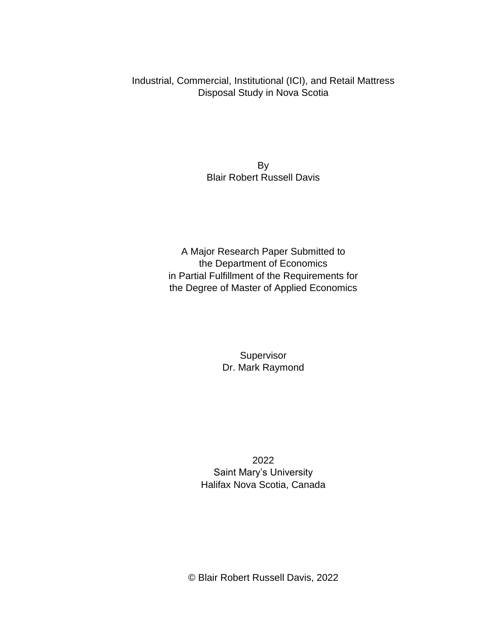Industrial, Commercial, Institutional (ICI), and Retail Mattress Disposal Study in Nova Scotia

> By Blair Robert Russell Davis

A Major Research Paper Submitted to the Department of Economics in Partial Fulfillment of the Requirements for the Degree of Master of Applied Economics

> Supervisor Dr. Mark Raymond

2022 Saint Mary's University Halifax Nova Scotia, Canada

© Blair Robert Russell Davis, 2022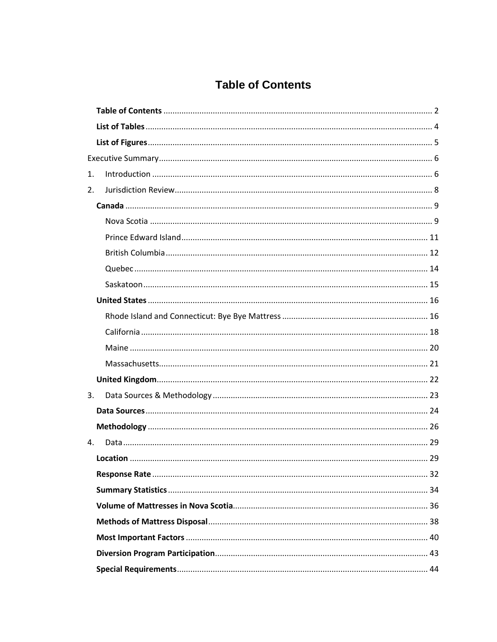# **Table of Contents**

<span id="page-1-0"></span>

| 1. |  |  |
|----|--|--|
| 2. |  |  |
|    |  |  |
|    |  |  |
|    |  |  |
|    |  |  |
|    |  |  |
|    |  |  |
|    |  |  |
|    |  |  |
|    |  |  |
|    |  |  |
|    |  |  |
|    |  |  |
| 3. |  |  |
|    |  |  |
|    |  |  |
| 4. |  |  |
|    |  |  |
|    |  |  |
|    |  |  |
|    |  |  |
|    |  |  |
|    |  |  |
|    |  |  |
|    |  |  |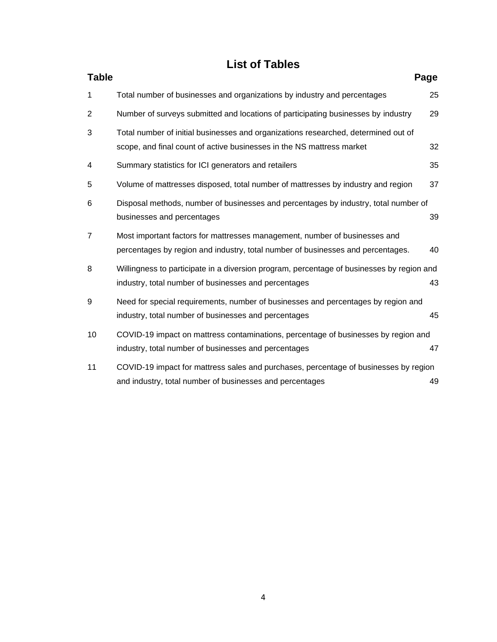# **List of Tables**

<span id="page-3-0"></span>

| <b>Table</b>   | Page                                                                                                                                                          |    |
|----------------|---------------------------------------------------------------------------------------------------------------------------------------------------------------|----|
| 1              | Total number of businesses and organizations by industry and percentages                                                                                      | 25 |
| 2              | Number of surveys submitted and locations of participating businesses by industry                                                                             | 29 |
| 3              | Total number of initial businesses and organizations researched, determined out of<br>scope, and final count of active businesses in the NS mattress market   | 32 |
| 4              | Summary statistics for ICI generators and retailers                                                                                                           | 35 |
| 5              | Volume of mattresses disposed, total number of mattresses by industry and region                                                                              | 37 |
| 6              | Disposal methods, number of businesses and percentages by industry, total number of<br>businesses and percentages                                             | 39 |
| $\overline{7}$ | Most important factors for mattresses management, number of businesses and<br>percentages by region and industry, total number of businesses and percentages. | 40 |
| 8              | Willingness to participate in a diversion program, percentage of businesses by region and<br>industry, total number of businesses and percentages             | 43 |
| 9              | Need for special requirements, number of businesses and percentages by region and<br>industry, total number of businesses and percentages                     | 45 |
| 10             | COVID-19 impact on mattress contaminations, percentage of businesses by region and<br>industry, total number of businesses and percentages                    | 47 |
| 11             | COVID-19 impact for mattress sales and purchases, percentage of businesses by region<br>and industry, total number of businesses and percentages              | 49 |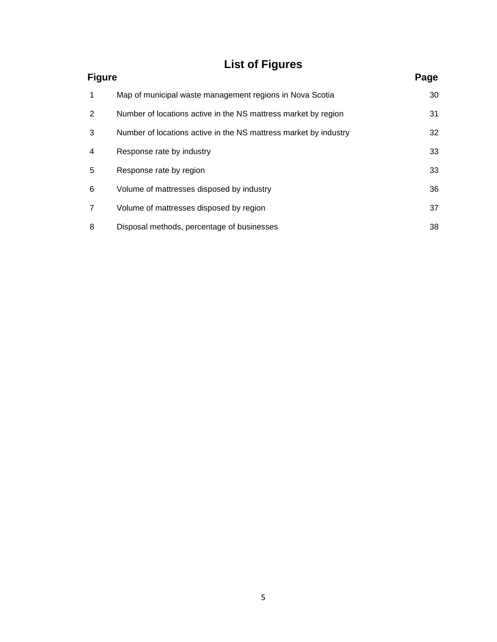# **List of Figures**

<span id="page-4-0"></span>

| <b>Figure</b>  |                                                                  | Page |
|----------------|------------------------------------------------------------------|------|
| $\mathbf{1}$   | Map of municipal waste management regions in Nova Scotia         | 30   |
| 2              | Number of locations active in the NS mattress market by region   | 31   |
| 3              | Number of locations active in the NS mattress market by industry | 32   |
| $\overline{4}$ | Response rate by industry                                        | 33   |
| 5              | Response rate by region                                          | 33   |
| 6              | Volume of mattresses disposed by industry                        | 36   |
| $\overline{7}$ | Volume of mattresses disposed by region                          | 37   |
| 8              | Disposal methods, percentage of businesses                       | 38   |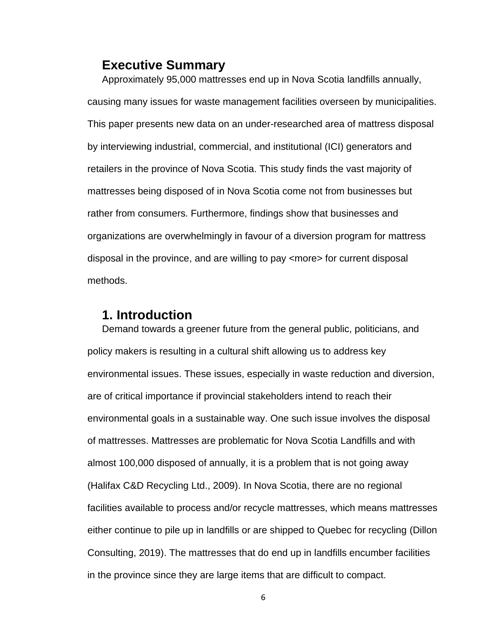# <span id="page-5-0"></span>**Executive Summary**

Approximately 95,000 mattresses end up in Nova Scotia landfills annually, causing many issues for waste management facilities overseen by municipalities. This paper presents new data on an under-researched area of mattress disposal by interviewing industrial, commercial, and institutional (ICI) generators and retailers in the province of Nova Scotia. This study finds the vast majority of mattresses being disposed of in Nova Scotia come not from businesses but rather from consumers. Furthermore, findings show that businesses and organizations are overwhelmingly in favour of a diversion program for mattress disposal in the province, and are willing to pay <more> for current disposal methods.

## <span id="page-5-1"></span>**1. Introduction**

Demand towards a greener future from the general public, politicians, and policy makers is resulting in a cultural shift allowing us to address key environmental issues. These issues, especially in waste reduction and diversion, are of critical importance if provincial stakeholders intend to reach their environmental goals in a sustainable way. One such issue involves the disposal of mattresses. Mattresses are problematic for Nova Scotia Landfills and with almost 100,000 disposed of annually, it is a problem that is not going away (Halifax C&D Recycling Ltd., 2009). In Nova Scotia, there are no regional facilities available to process and/or recycle mattresses, which means mattresses either continue to pile up in landfills or are shipped to Quebec for recycling (Dillon Consulting, 2019). The mattresses that do end up in landfills encumber facilities in the province since they are large items that are difficult to compact.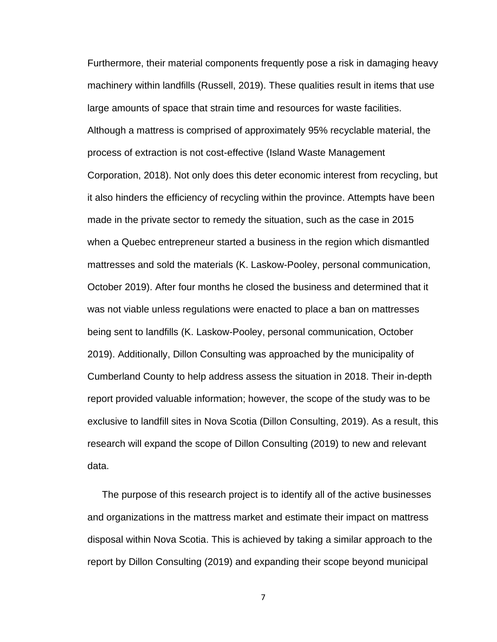Furthermore, their material components frequently pose a risk in damaging heavy machinery within landfills (Russell, 2019). These qualities result in items that use large amounts of space that strain time and resources for waste facilities. Although a mattress is comprised of approximately 95% recyclable material, the process of extraction is not cost-effective (Island Waste Management Corporation, 2018). Not only does this deter economic interest from recycling, but it also hinders the efficiency of recycling within the province. Attempts have been made in the private sector to remedy the situation, such as the case in 2015 when a Quebec entrepreneur started a business in the region which dismantled mattresses and sold the materials (K. Laskow-Pooley, personal communication, October 2019). After four months he closed the business and determined that it was not viable unless regulations were enacted to place a ban on mattresses being sent to landfills (K. Laskow-Pooley, personal communication, October 2019). Additionally, Dillon Consulting was approached by the municipality of Cumberland County to help address assess the situation in 2018. Their in-depth report provided valuable information; however, the scope of the study was to be exclusive to landfill sites in Nova Scotia (Dillon Consulting, 2019). As a result, this research will expand the scope of Dillon Consulting (2019) to new and relevant data.

The purpose of this research project is to identify all of the active businesses and organizations in the mattress market and estimate their impact on mattress disposal within Nova Scotia. This is achieved by taking a similar approach to the report by Dillon Consulting (2019) and expanding their scope beyond municipal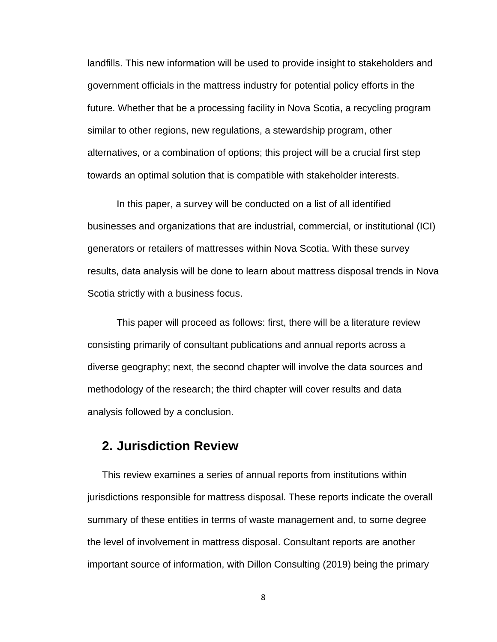landfills. This new information will be used to provide insight to stakeholders and government officials in the mattress industry for potential policy efforts in the future. Whether that be a processing facility in Nova Scotia, a recycling program similar to other regions, new regulations, a stewardship program, other alternatives, or a combination of options; this project will be a crucial first step towards an optimal solution that is compatible with stakeholder interests.

In this paper, a survey will be conducted on a list of all identified businesses and organizations that are industrial, commercial, or institutional (ICI) generators or retailers of mattresses within Nova Scotia. With these survey results, data analysis will be done to learn about mattress disposal trends in Nova Scotia strictly with a business focus.

This paper will proceed as follows: first, there will be a literature review consisting primarily of consultant publications and annual reports across a diverse geography; next, the second chapter will involve the data sources and methodology of the research; the third chapter will cover results and data analysis followed by a conclusion.

# <span id="page-7-0"></span>**2. Jurisdiction Review**

This review examines a series of annual reports from institutions within jurisdictions responsible for mattress disposal. These reports indicate the overall summary of these entities in terms of waste management and, to some degree the level of involvement in mattress disposal. Consultant reports are another important source of information, with Dillon Consulting (2019) being the primary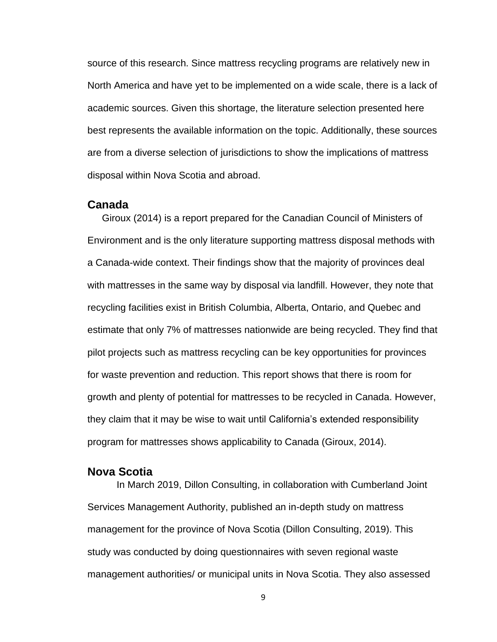source of this research. Since mattress recycling programs are relatively new in North America and have yet to be implemented on a wide scale, there is a lack of academic sources. Given this shortage, the literature selection presented here best represents the available information on the topic. Additionally, these sources are from a diverse selection of jurisdictions to show the implications of mattress disposal within Nova Scotia and abroad.

#### <span id="page-8-0"></span>**Canada**

Giroux (2014) is a report prepared for the Canadian Council of Ministers of Environment and is the only literature supporting mattress disposal methods with a Canada-wide context. Their findings show that the majority of provinces deal with mattresses in the same way by disposal via landfill. However, they note that recycling facilities exist in British Columbia, Alberta, Ontario, and Quebec and estimate that only 7% of mattresses nationwide are being recycled. They find that pilot projects such as mattress recycling can be key opportunities for provinces for waste prevention and reduction. This report shows that there is room for growth and plenty of potential for mattresses to be recycled in Canada. However, they claim that it may be wise to wait until California's extended responsibility program for mattresses shows applicability to Canada (Giroux, 2014).

## <span id="page-8-1"></span>**Nova Scotia**

In March 2019, Dillon Consulting, in collaboration with Cumberland Joint Services Management Authority, published an in-depth study on mattress management for the province of Nova Scotia (Dillon Consulting, 2019). This study was conducted by doing questionnaires with seven regional waste management authorities/ or municipal units in Nova Scotia. They also assessed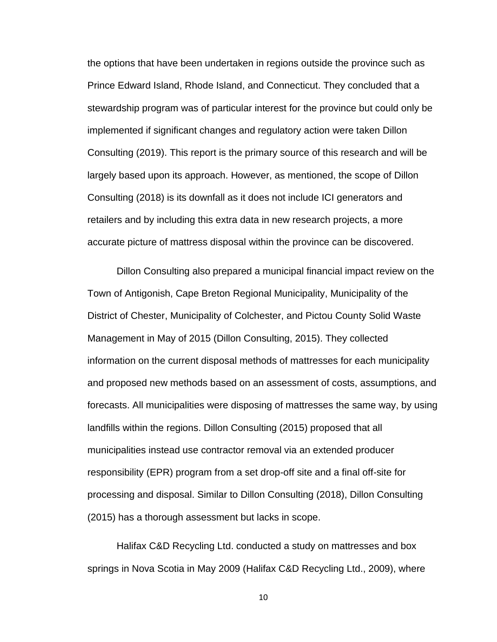the options that have been undertaken in regions outside the province such as Prince Edward Island, Rhode Island, and Connecticut. They concluded that a stewardship program was of particular interest for the province but could only be implemented if significant changes and regulatory action were taken Dillon Consulting (2019). This report is the primary source of this research and will be largely based upon its approach. However, as mentioned, the scope of Dillon Consulting (2018) is its downfall as it does not include ICI generators and retailers and by including this extra data in new research projects, a more accurate picture of mattress disposal within the province can be discovered.

Dillon Consulting also prepared a municipal financial impact review on the Town of Antigonish, Cape Breton Regional Municipality, Municipality of the District of Chester, Municipality of Colchester, and Pictou County Solid Waste Management in May of 2015 (Dillon Consulting, 2015). They collected information on the current disposal methods of mattresses for each municipality and proposed new methods based on an assessment of costs, assumptions, and forecasts. All municipalities were disposing of mattresses the same way, by using landfills within the regions. Dillon Consulting (2015) proposed that all municipalities instead use contractor removal via an extended producer responsibility (EPR) program from a set drop-off site and a final off-site for processing and disposal. Similar to Dillon Consulting (2018), Dillon Consulting (2015) has a thorough assessment but lacks in scope.

Halifax C&D Recycling Ltd. conducted a study on mattresses and box springs in Nova Scotia in May 2009 (Halifax C&D Recycling Ltd., 2009), where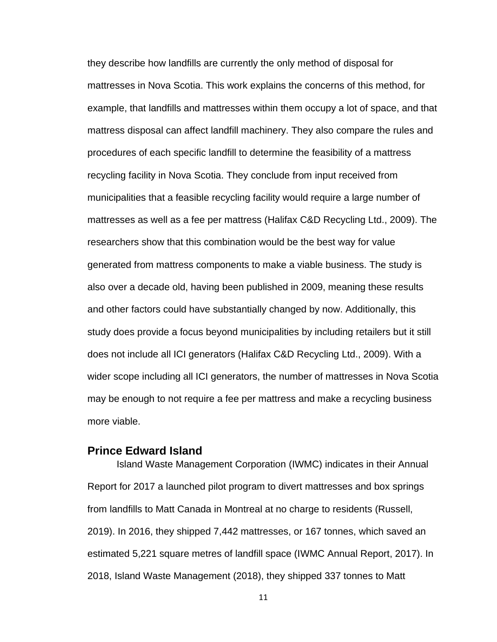they describe how landfills are currently the only method of disposal for mattresses in Nova Scotia. This work explains the concerns of this method, for example, that landfills and mattresses within them occupy a lot of space, and that mattress disposal can affect landfill machinery. They also compare the rules and procedures of each specific landfill to determine the feasibility of a mattress recycling facility in Nova Scotia. They conclude from input received from municipalities that a feasible recycling facility would require a large number of mattresses as well as a fee per mattress (Halifax C&D Recycling Ltd., 2009). The researchers show that this combination would be the best way for value generated from mattress components to make a viable business. The study is also over a decade old, having been published in 2009, meaning these results and other factors could have substantially changed by now. Additionally, this study does provide a focus beyond municipalities by including retailers but it still does not include all ICI generators (Halifax C&D Recycling Ltd., 2009). With a wider scope including all ICI generators, the number of mattresses in Nova Scotia may be enough to not require a fee per mattress and make a recycling business more viable.

### <span id="page-10-0"></span>**Prince Edward Island**

Island Waste Management Corporation (IWMC) indicates in their Annual Report for 2017 a launched pilot program to divert mattresses and box springs from landfills to Matt Canada in Montreal at no charge to residents (Russell, 2019). In 2016, they shipped 7,442 mattresses, or 167 tonnes, which saved an estimated 5,221 square metres of landfill space (IWMC Annual Report, 2017). In 2018, Island Waste Management (2018), they shipped 337 tonnes to Matt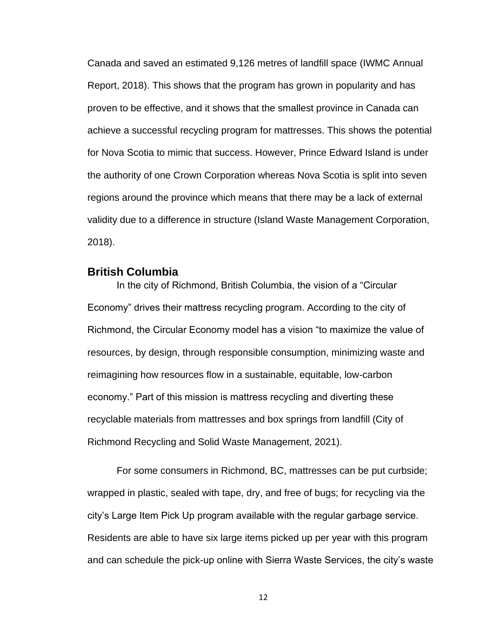Canada and saved an estimated 9,126 metres of landfill space (IWMC Annual Report, 2018). This shows that the program has grown in popularity and has proven to be effective, and it shows that the smallest province in Canada can achieve a successful recycling program for mattresses. This shows the potential for Nova Scotia to mimic that success. However, Prince Edward Island is under the authority of one Crown Corporation whereas Nova Scotia is split into seven regions around the province which means that there may be a lack of external validity due to a difference in structure (Island Waste Management Corporation, 2018).

#### <span id="page-11-0"></span>**British Columbia**

In the city of Richmond, British Columbia, the vision of a "Circular Economy" drives their mattress recycling program. According to the city of Richmond, the Circular Economy model has a vision "to maximize the value of resources, by design, through responsible consumption, minimizing waste and reimagining how resources flow in a sustainable, equitable, low-carbon economy." Part of this mission is mattress recycling and diverting these recyclable materials from mattresses and box springs from landfill (City of Richmond Recycling and Solid Waste Management, 2021).

For some consumers in Richmond, BC, mattresses can be put curbside; wrapped in plastic, sealed with tape, dry, and free of bugs; for recycling via the city's Large Item Pick Up program available with the regular garbage service. Residents are able to have six large items picked up per year with this program and can schedule the pick-up online with Sierra Waste Services, the city's waste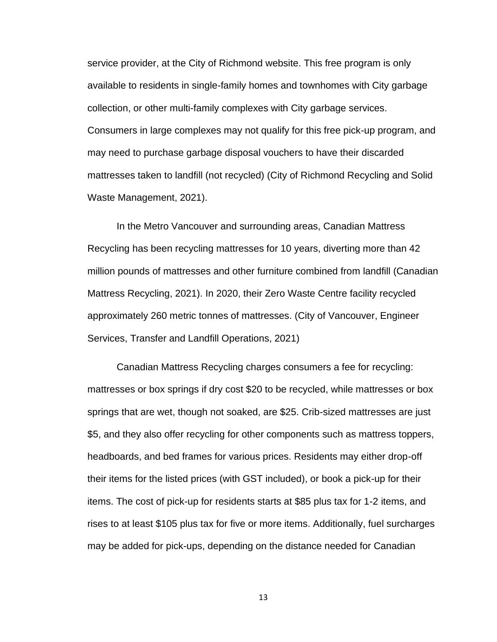service provider, at the City of Richmond website. This free program is only available to residents in single-family homes and townhomes with City garbage collection, or other multi-family complexes with City garbage services. Consumers in large complexes may not qualify for this free pick-up program, and may need to purchase garbage disposal vouchers to have their discarded mattresses taken to landfill (not recycled) (City of Richmond Recycling and Solid Waste Management, 2021).

In the Metro Vancouver and surrounding areas, Canadian Mattress Recycling has been recycling mattresses for 10 years, diverting more than 42 million pounds of mattresses and other furniture combined from landfill (Canadian Mattress Recycling, 2021). In 2020, their Zero Waste Centre facility recycled approximately 260 metric tonnes of mattresses. (City of Vancouver, Engineer Services, Transfer and Landfill Operations, 2021)

Canadian Mattress Recycling charges consumers a fee for recycling: mattresses or box springs if dry cost \$20 to be recycled, while mattresses or box springs that are wet, though not soaked, are \$25. Crib-sized mattresses are just \$5, and they also offer recycling for other components such as mattress toppers, headboards, and bed frames for various prices. Residents may either drop-off their items for the listed prices (with GST included), or book a pick-up for their items. The cost of pick-up for residents starts at \$85 plus tax for 1-2 items, and rises to at least \$105 plus tax for five or more items. Additionally, fuel surcharges may be added for pick-ups, depending on the distance needed for Canadian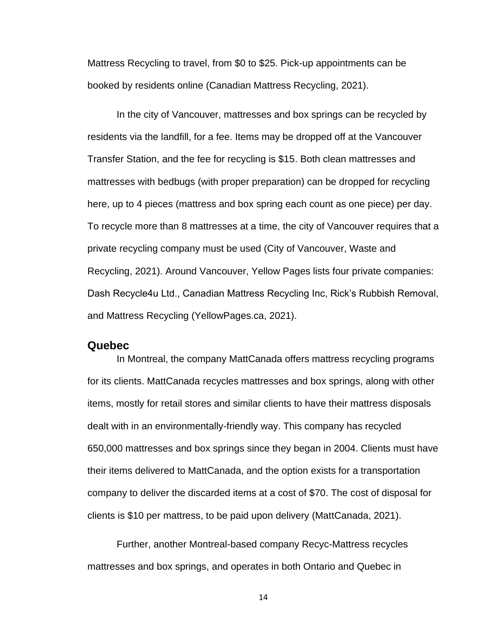Mattress Recycling to travel, from \$0 to \$25. Pick-up appointments can be booked by residents online (Canadian Mattress Recycling, 2021).

In the city of Vancouver, mattresses and box springs can be recycled by residents via the landfill, for a fee. Items may be dropped off at the Vancouver Transfer Station, and the fee for recycling is \$15. Both clean mattresses and mattresses with bedbugs (with proper preparation) can be dropped for recycling here, up to 4 pieces (mattress and box spring each count as one piece) per day. To recycle more than 8 mattresses at a time, the city of Vancouver requires that a private recycling company must be used (City of Vancouver, Waste and Recycling, 2021). Around Vancouver, Yellow Pages lists four private companies: Dash Recycle4u Ltd., Canadian Mattress Recycling Inc, Rick's Rubbish Removal, and Mattress Recycling (YellowPages.ca, 2021).

#### <span id="page-13-0"></span>**Quebec**

In Montreal, the company MattCanada offers mattress recycling programs for its clients. MattCanada recycles mattresses and box springs, along with other items, mostly for retail stores and similar clients to have their mattress disposals dealt with in an environmentally-friendly way. This company has recycled 650,000 mattresses and box springs since they began in 2004. Clients must have their items delivered to MattCanada, and the option exists for a transportation company to deliver the discarded items at a cost of \$70. The cost of disposal for clients is \$10 per mattress, to be paid upon delivery (MattCanada, 2021).

Further, another Montreal-based company Recyc-Mattress recycles mattresses and box springs, and operates in both Ontario and Quebec in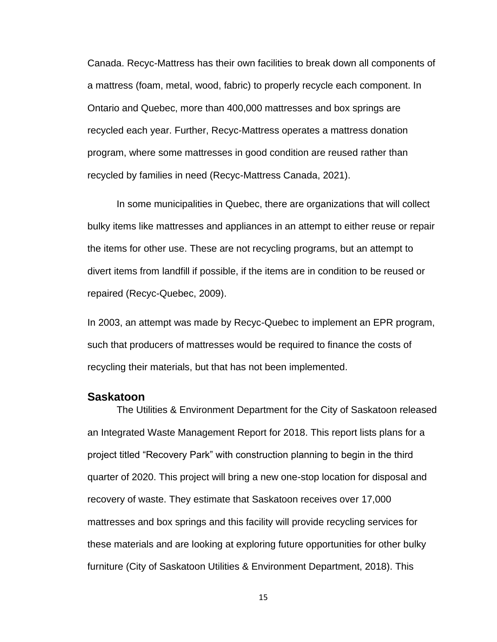Canada. Recyc-Mattress has their own facilities to break down all components of a mattress (foam, metal, wood, fabric) to properly recycle each component. In Ontario and Quebec, more than 400,000 mattresses and box springs are recycled each year. Further, Recyc-Mattress operates a mattress donation program, where some mattresses in good condition are reused rather than recycled by families in need (Recyc-Mattress Canada, 2021).

In some municipalities in Quebec, there are organizations that will collect bulky items like mattresses and appliances in an attempt to either reuse or repair the items for other use. These are not recycling programs, but an attempt to divert items from landfill if possible, if the items are in condition to be reused or repaired (Recyc-Quebec, 2009).

In 2003, an attempt was made by Recyc-Quebec to implement an EPR program, such that producers of mattresses would be required to finance the costs of recycling their materials, but that has not been implemented.

#### <span id="page-14-0"></span>**Saskatoon**

The Utilities & Environment Department for the City of Saskatoon released an Integrated Waste Management Report for 2018. This report lists plans for a project titled "Recovery Park" with construction planning to begin in the third quarter of 2020. This project will bring a new one-stop location for disposal and recovery of waste. They estimate that Saskatoon receives over 17,000 mattresses and box springs and this facility will provide recycling services for these materials and are looking at exploring future opportunities for other bulky furniture (City of Saskatoon Utilities & Environment Department, 2018). This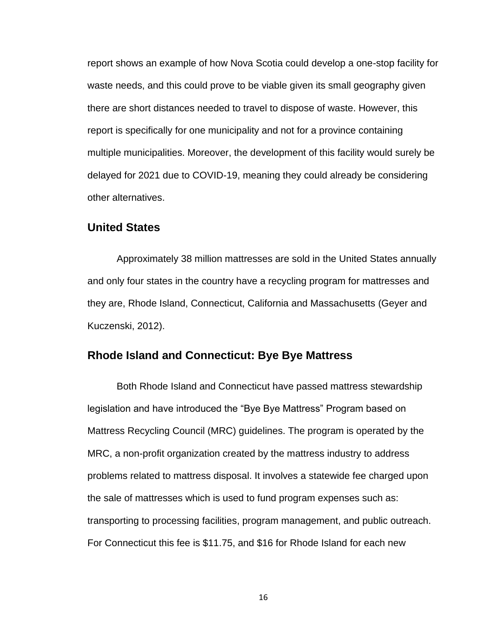report shows an example of how Nova Scotia could develop a one-stop facility for waste needs, and this could prove to be viable given its small geography given there are short distances needed to travel to dispose of waste. However, this report is specifically for one municipality and not for a province containing multiple municipalities. Moreover, the development of this facility would surely be delayed for 2021 due to COVID-19, meaning they could already be considering other alternatives.

#### <span id="page-15-0"></span>**United States**

Approximately 38 million mattresses are sold in the United States annually and only four states in the country have a recycling program for mattresses and they are, Rhode Island, Connecticut, California and Massachusetts (Geyer and Kuczenski, 2012).

## <span id="page-15-1"></span>**Rhode Island and Connecticut: Bye Bye Mattress**

Both Rhode Island and Connecticut have passed mattress stewardship legislation and have introduced the "Bye Bye Mattress" Program based on Mattress Recycling Council (MRC) guidelines. The program is operated by the MRC, a non-profit organization created by the mattress industry to address problems related to mattress disposal. It involves a statewide fee charged upon the sale of mattresses which is used to fund program expenses such as: transporting to processing facilities, program management, and public outreach. For Connecticut this fee is \$11.75, and \$16 for Rhode Island for each new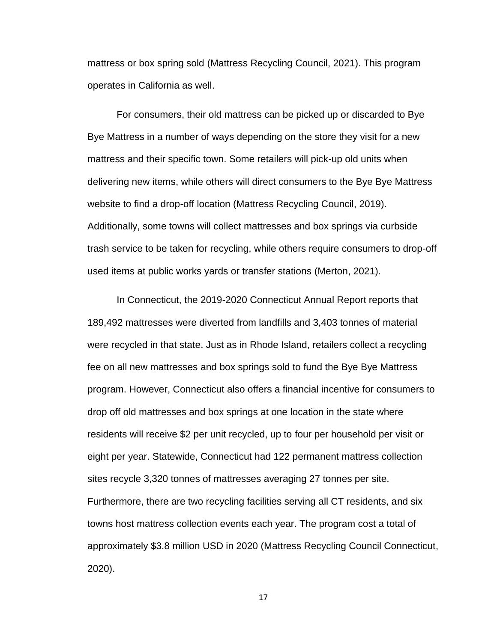mattress or box spring sold (Mattress Recycling Council, 2021). This program operates in California as well.

For consumers, their old mattress can be picked up or discarded to Bye Bye Mattress in a number of ways depending on the store they visit for a new mattress and their specific town. Some retailers will pick-up old units when delivering new items, while others will direct consumers to the Bye Bye Mattress website to find a drop-off location (Mattress Recycling Council, 2019). Additionally, some towns will collect mattresses and box springs via curbside trash service to be taken for recycling, while others require consumers to drop-off used items at public works yards or transfer stations (Merton, 2021).

In Connecticut, the 2019-2020 Connecticut Annual Report reports that 189,492 mattresses were diverted from landfills and 3,403 tonnes of material were recycled in that state. Just as in Rhode Island, retailers collect a recycling fee on all new mattresses and box springs sold to fund the Bye Bye Mattress program. However, Connecticut also offers a financial incentive for consumers to drop off old mattresses and box springs at one location in the state where residents will receive \$2 per unit recycled, up to four per household per visit or eight per year. Statewide, Connecticut had 122 permanent mattress collection sites recycle 3,320 tonnes of mattresses averaging 27 tonnes per site. Furthermore, there are two recycling facilities serving all CT residents, and six towns host mattress collection events each year. The program cost a total of approximately \$3.8 million USD in 2020 (Mattress Recycling Council Connecticut, 2020).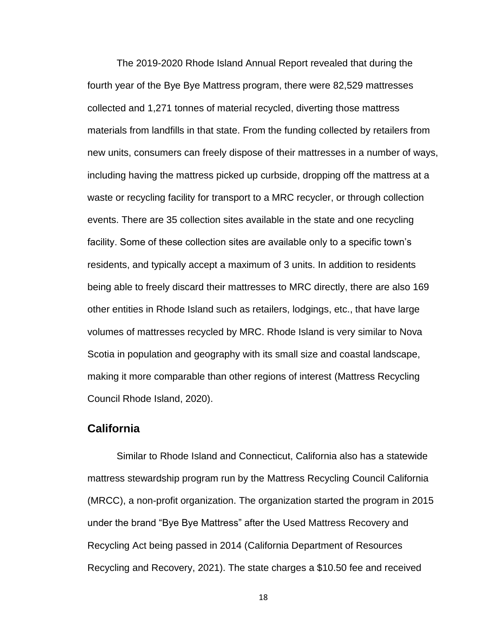The 2019-2020 Rhode Island Annual Report revealed that during the fourth year of the Bye Bye Mattress program, there were 82,529 mattresses collected and 1,271 tonnes of material recycled, diverting those mattress materials from landfills in that state. From the funding collected by retailers from new units, consumers can freely dispose of their mattresses in a number of ways, including having the mattress picked up curbside, dropping off the mattress at a waste or recycling facility for transport to a MRC recycler, or through collection events. There are 35 collection sites available in the state and one recycling facility. Some of these collection sites are available only to a specific town's residents, and typically accept a maximum of 3 units. In addition to residents being able to freely discard their mattresses to MRC directly, there are also 169 other entities in Rhode Island such as retailers, lodgings, etc., that have large volumes of mattresses recycled by MRC. Rhode Island is very similar to Nova Scotia in population and geography with its small size and coastal landscape, making it more comparable than other regions of interest (Mattress Recycling Council Rhode Island, 2020).

### <span id="page-17-0"></span>**California**

Similar to Rhode Island and Connecticut, California also has a statewide mattress stewardship program run by the Mattress Recycling Council California (MRCC), a non-profit organization. The organization started the program in 2015 under the brand "Bye Bye Mattress" after the Used Mattress Recovery and Recycling Act being passed in 2014 (California Department of Resources Recycling and Recovery, 2021). The state charges a \$10.50 fee and received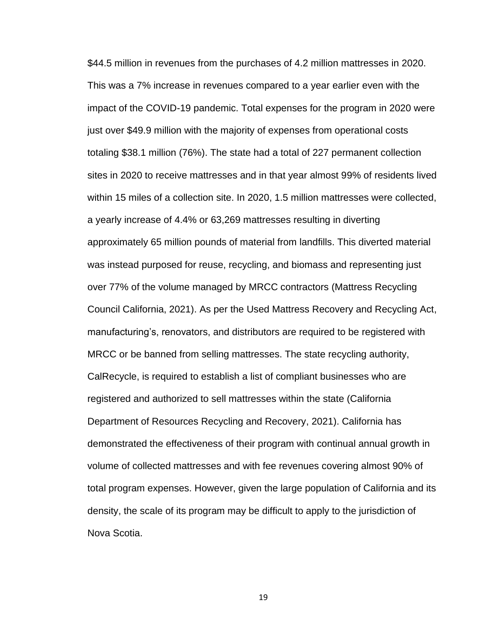\$44.5 million in revenues from the purchases of 4.2 million mattresses in 2020. This was a 7% increase in revenues compared to a year earlier even with the impact of the COVID-19 pandemic. Total expenses for the program in 2020 were just over \$49.9 million with the majority of expenses from operational costs totaling \$38.1 million (76%). The state had a total of 227 permanent collection sites in 2020 to receive mattresses and in that year almost 99% of residents lived within 15 miles of a collection site. In 2020, 1.5 million mattresses were collected, a yearly increase of 4.4% or 63,269 mattresses resulting in diverting approximately 65 million pounds of material from landfills. This diverted material was instead purposed for reuse, recycling, and biomass and representing just over 77% of the volume managed by MRCC contractors (Mattress Recycling Council California, 2021). As per the Used Mattress Recovery and Recycling Act, manufacturing's, renovators, and distributors are required to be registered with MRCC or be banned from selling mattresses. The state recycling authority, CalRecycle, is required to establish a list of compliant businesses who are registered and authorized to sell mattresses within the state (California Department of Resources Recycling and Recovery, 2021). California has demonstrated the effectiveness of their program with continual annual growth in volume of collected mattresses and with fee revenues covering almost 90% of total program expenses. However, given the large population of California and its density, the scale of its program may be difficult to apply to the jurisdiction of Nova Scotia.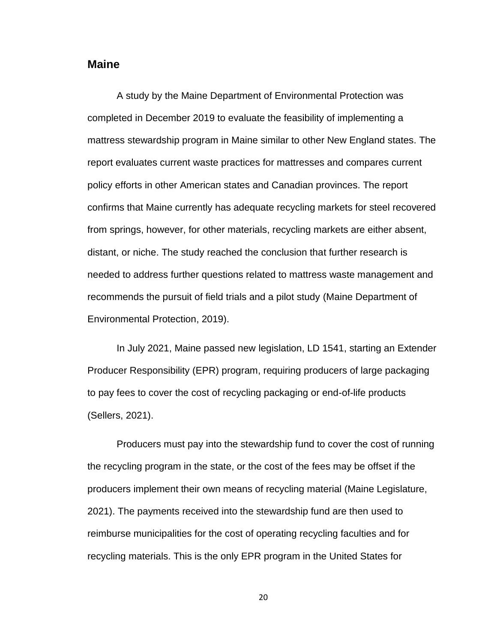## <span id="page-19-0"></span>**Maine**

A study by the Maine Department of Environmental Protection was completed in December 2019 to evaluate the feasibility of implementing a mattress stewardship program in Maine similar to other New England states. The report evaluates current waste practices for mattresses and compares current policy efforts in other American states and Canadian provinces. The report confirms that Maine currently has adequate recycling markets for steel recovered from springs, however, for other materials, recycling markets are either absent, distant, or niche. The study reached the conclusion that further research is needed to address further questions related to mattress waste management and recommends the pursuit of field trials and a pilot study (Maine Department of Environmental Protection, 2019).

In July 2021, Maine passed new legislation, LD 1541, starting an Extender Producer Responsibility (EPR) program, requiring producers of large packaging to pay fees to cover the cost of recycling packaging or end-of-life products (Sellers, 2021).

Producers must pay into the stewardship fund to cover the cost of running the recycling program in the state, or the cost of the fees may be offset if the producers implement their own means of recycling material (Maine Legislature, 2021). The payments received into the stewardship fund are then used to reimburse municipalities for the cost of operating recycling faculties and for recycling materials. This is the only EPR program in the United States for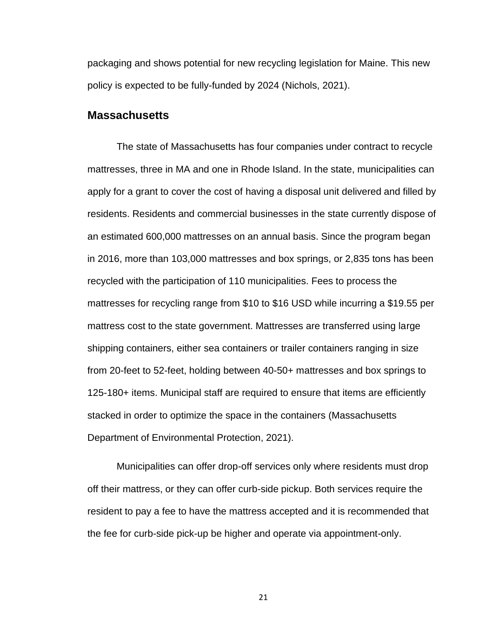packaging and shows potential for new recycling legislation for Maine. This new policy is expected to be fully-funded by 2024 (Nichols, 2021).

#### <span id="page-20-0"></span>**Massachusetts**

The state of Massachusetts has four companies under contract to recycle mattresses, three in MA and one in Rhode Island. In the state, municipalities can apply for a grant to cover the cost of having a disposal unit delivered and filled by residents. Residents and commercial businesses in the state currently dispose of an estimated 600,000 mattresses on an annual basis. Since the program began in 2016, more than 103,000 mattresses and box springs, or 2,835 tons has been recycled with the participation of 110 municipalities. Fees to process the mattresses for recycling range from \$10 to \$16 USD while incurring a \$19.55 per mattress cost to the state government. Mattresses are transferred using large shipping containers, either sea containers or trailer containers ranging in size from 20-feet to 52-feet, holding between 40-50+ mattresses and box springs to 125-180+ items. Municipal staff are required to ensure that items are efficiently stacked in order to optimize the space in the containers (Massachusetts Department of Environmental Protection, 2021).

Municipalities can offer drop-off services only where residents must drop off their mattress, or they can offer curb-side pickup. Both services require the resident to pay a fee to have the mattress accepted and it is recommended that the fee for curb-side pick-up be higher and operate via appointment-only.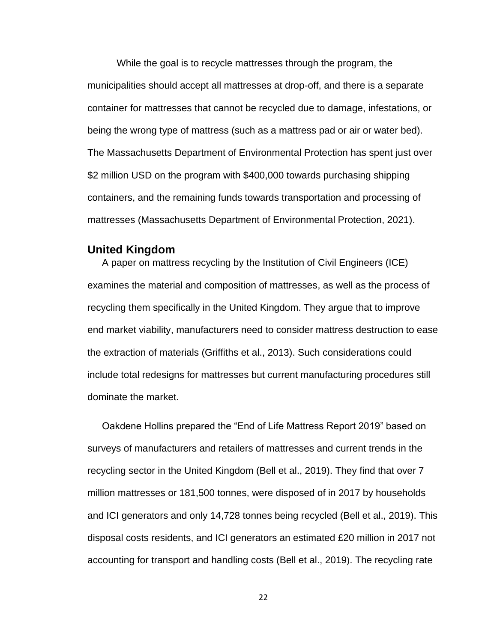While the goal is to recycle mattresses through the program, the municipalities should accept all mattresses at drop-off, and there is a separate container for mattresses that cannot be recycled due to damage, infestations, or being the wrong type of mattress (such as a mattress pad or air or water bed). The Massachusetts Department of Environmental Protection has spent just over \$2 million USD on the program with \$400,000 towards purchasing shipping containers, and the remaining funds towards transportation and processing of mattresses (Massachusetts Department of Environmental Protection, 2021).

### <span id="page-21-0"></span>**United Kingdom**

A paper on mattress recycling by the Institution of Civil Engineers (ICE) examines the material and composition of mattresses, as well as the process of recycling them specifically in the United Kingdom. They argue that to improve end market viability, manufacturers need to consider mattress destruction to ease the extraction of materials (Griffiths et al., 2013). Such considerations could include total redesigns for mattresses but current manufacturing procedures still dominate the market.

Oakdene Hollins prepared the "End of Life Mattress Report 2019" based on surveys of manufacturers and retailers of mattresses and current trends in the recycling sector in the United Kingdom (Bell et al., 2019). They find that over 7 million mattresses or 181,500 tonnes, were disposed of in 2017 by households and ICI generators and only 14,728 tonnes being recycled (Bell et al., 2019). This disposal costs residents, and ICI generators an estimated £20 million in 2017 not accounting for transport and handling costs (Bell et al., 2019). The recycling rate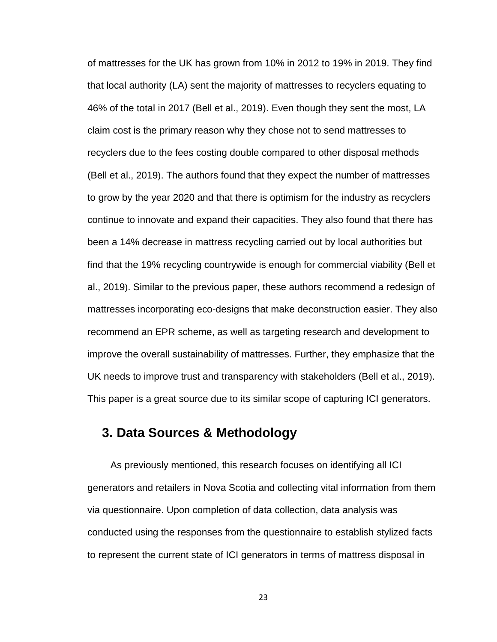of mattresses for the UK has grown from 10% in 2012 to 19% in 2019. They find that local authority (LA) sent the majority of mattresses to recyclers equating to 46% of the total in 2017 (Bell et al., 2019). Even though they sent the most, LA claim cost is the primary reason why they chose not to send mattresses to recyclers due to the fees costing double compared to other disposal methods (Bell et al., 2019). The authors found that they expect the number of mattresses to grow by the year 2020 and that there is optimism for the industry as recyclers continue to innovate and expand their capacities. They also found that there has been a 14% decrease in mattress recycling carried out by local authorities but find that the 19% recycling countrywide is enough for commercial viability (Bell et al., 2019). Similar to the previous paper, these authors recommend a redesign of mattresses incorporating eco-designs that make deconstruction easier. They also recommend an EPR scheme, as well as targeting research and development to improve the overall sustainability of mattresses. Further, they emphasize that the UK needs to improve trust and transparency with stakeholders (Bell et al., 2019). This paper is a great source due to its similar scope of capturing ICI generators.

# <span id="page-22-0"></span>**3. Data Sources & Methodology**

As previously mentioned, this research focuses on identifying all ICI generators and retailers in Nova Scotia and collecting vital information from them via questionnaire. Upon completion of data collection, data analysis was conducted using the responses from the questionnaire to establish stylized facts to represent the current state of ICI generators in terms of mattress disposal in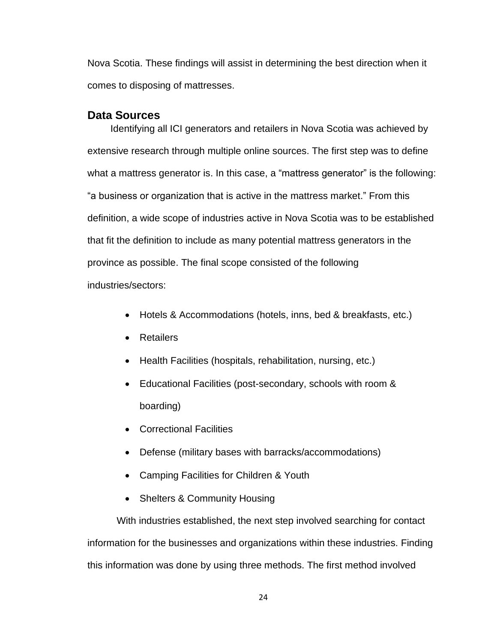Nova Scotia. These findings will assist in determining the best direction when it comes to disposing of mattresses.

### <span id="page-23-0"></span>**Data Sources**

Identifying all ICI generators and retailers in Nova Scotia was achieved by extensive research through multiple online sources. The first step was to define what a mattress generator is. In this case, a "mattress generator" is the following: "a business or organization that is active in the mattress market." From this definition, a wide scope of industries active in Nova Scotia was to be established that fit the definition to include as many potential mattress generators in the province as possible. The final scope consisted of the following industries/sectors:

- Hotels & Accommodations (hotels, inns, bed & breakfasts, etc.)
- Retailers
- Health Facilities (hospitals, rehabilitation, nursing, etc.)
- Educational Facilities (post-secondary, schools with room & boarding)
- Correctional Facilities
- Defense (military bases with barracks/accommodations)
- Camping Facilities for Children & Youth
- Shelters & Community Housing

With industries established, the next step involved searching for contact information for the businesses and organizations within these industries. Finding this information was done by using three methods. The first method involved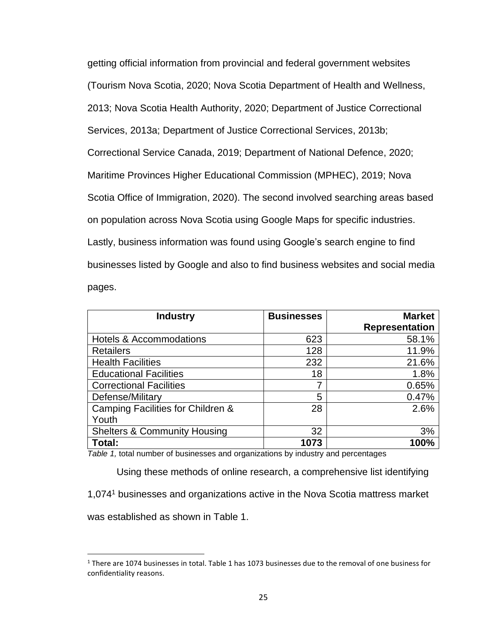getting official information from provincial and federal government websites (Tourism Nova Scotia, 2020; Nova Scotia Department of Health and Wellness, 2013; Nova Scotia Health Authority, 2020; Department of Justice Correctional Services, 2013a; Department of Justice Correctional Services, 2013b; Correctional Service Canada, 2019; Department of National Defence, 2020; Maritime Provinces Higher Educational Commission (MPHEC), 2019; Nova Scotia Office of Immigration, 2020). The second involved searching areas based on population across Nova Scotia using Google Maps for specific industries. Lastly, business information was found using Google's search engine to find businesses listed by Google and also to find business websites and social media pages.

| <b>Industry</b>                         | <b>Businesses</b> | <b>Market</b>         |
|-----------------------------------------|-------------------|-----------------------|
|                                         |                   | <b>Representation</b> |
| <b>Hotels &amp; Accommodations</b>      | 623               | 58.1%                 |
| <b>Retailers</b>                        | 128               | 11.9%                 |
| <b>Health Facilities</b>                | 232               | 21.6%                 |
| <b>Educational Facilities</b>           | 18                | 1.8%                  |
| <b>Correctional Facilities</b>          |                   | 0.65%                 |
| Defense/Military                        | 5                 | 0.47%                 |
| Camping Facilities for Children &       | 28                | 2.6%                  |
| Youth                                   |                   |                       |
| <b>Shelters &amp; Community Housing</b> | 32                | 3%                    |
| Total:                                  | 1073              | 100%                  |

<span id="page-24-0"></span>*Table 1,* total number of businesses and organizations by industry and percentages

Using these methods of online research, a comprehensive list identifying 1,074<sup>1</sup> businesses and organizations active in the Nova Scotia mattress market was established as shown in Table 1.

 $1$  There are 1074 businesses in total. Table 1 has 1073 businesses due to the removal of one business for confidentiality reasons.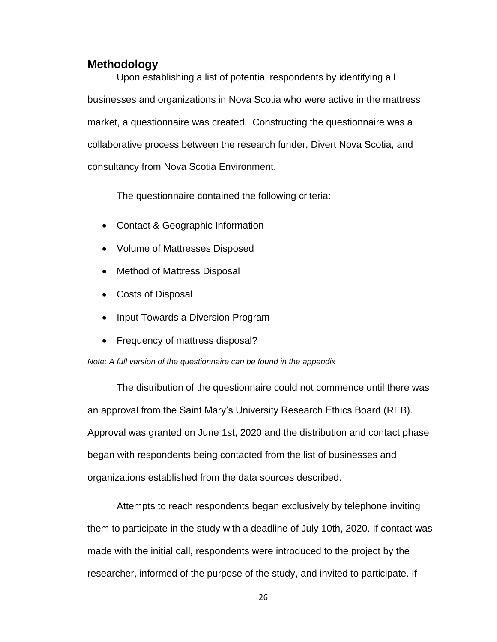## <span id="page-25-0"></span>**Methodology**

Upon establishing a list of potential respondents by identifying all businesses and organizations in Nova Scotia who were active in the mattress market, a questionnaire was created. Constructing the questionnaire was a collaborative process between the research funder, Divert Nova Scotia, and consultancy from Nova Scotia Environment.

The questionnaire contained the following criteria:

- Contact & Geographic Information
- Volume of Mattresses Disposed
- Method of Mattress Disposal
- Costs of Disposal
- Input Towards a Diversion Program
- Frequency of mattress disposal?

#### *Note: A full version of the questionnaire can be found in the appendix*

The distribution of the questionnaire could not commence until there was an approval from the Saint Mary's University Research Ethics Board (REB). Approval was granted on June 1st, 2020 and the distribution and contact phase began with respondents being contacted from the list of businesses and organizations established from the data sources described.

Attempts to reach respondents began exclusively by telephone inviting them to participate in the study with a deadline of July 10th, 2020. If contact was made with the initial call, respondents were introduced to the project by the researcher, informed of the purpose of the study, and invited to participate. If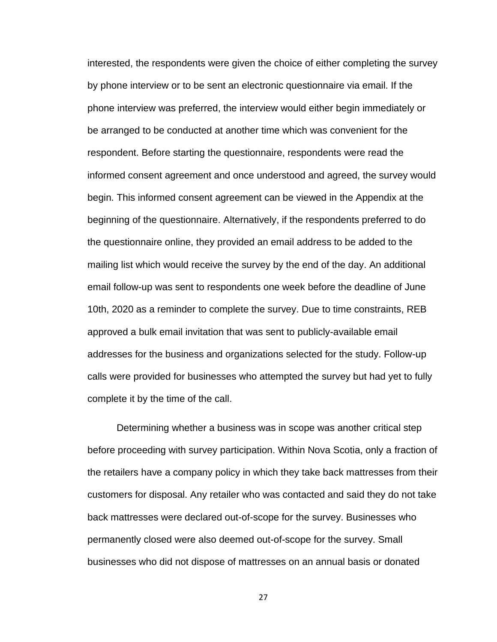interested, the respondents were given the choice of either completing the survey by phone interview or to be sent an electronic questionnaire via email. If the phone interview was preferred, the interview would either begin immediately or be arranged to be conducted at another time which was convenient for the respondent. Before starting the questionnaire, respondents were read the informed consent agreement and once understood and agreed, the survey would begin. This informed consent agreement can be viewed in the Appendix at the beginning of the questionnaire. Alternatively, if the respondents preferred to do the questionnaire online, they provided an email address to be added to the mailing list which would receive the survey by the end of the day. An additional email follow-up was sent to respondents one week before the deadline of June 10th, 2020 as a reminder to complete the survey. Due to time constraints, REB approved a bulk email invitation that was sent to publicly-available email addresses for the business and organizations selected for the study. Follow-up calls were provided for businesses who attempted the survey but had yet to fully complete it by the time of the call.

Determining whether a business was in scope was another critical step before proceeding with survey participation. Within Nova Scotia, only a fraction of the retailers have a company policy in which they take back mattresses from their customers for disposal. Any retailer who was contacted and said they do not take back mattresses were declared out-of-scope for the survey. Businesses who permanently closed were also deemed out-of-scope for the survey. Small businesses who did not dispose of mattresses on an annual basis or donated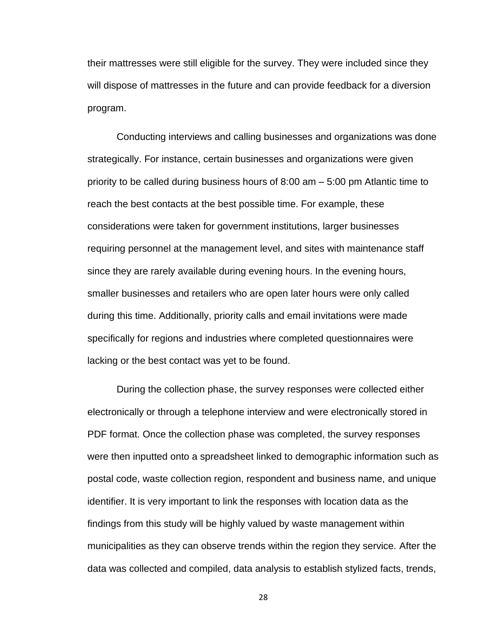their mattresses were still eligible for the survey. They were included since they will dispose of mattresses in the future and can provide feedback for a diversion program.

Conducting interviews and calling businesses and organizations was done strategically. For instance, certain businesses and organizations were given priority to be called during business hours of 8:00 am – 5:00 pm Atlantic time to reach the best contacts at the best possible time. For example, these considerations were taken for government institutions, larger businesses requiring personnel at the management level, and sites with maintenance staff since they are rarely available during evening hours. In the evening hours, smaller businesses and retailers who are open later hours were only called during this time. Additionally, priority calls and email invitations were made specifically for regions and industries where completed questionnaires were lacking or the best contact was yet to be found.

During the collection phase, the survey responses were collected either electronically or through a telephone interview and were electronically stored in PDF format. Once the collection phase was completed, the survey responses were then inputted onto a spreadsheet linked to demographic information such as postal code, waste collection region, respondent and business name, and unique identifier. It is very important to link the responses with location data as the findings from this study will be highly valued by waste management within municipalities as they can observe trends within the region they service. After the data was collected and compiled, data analysis to establish stylized facts, trends,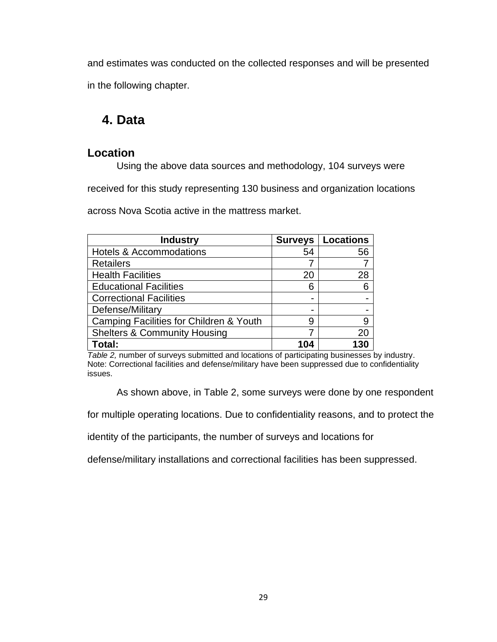and estimates was conducted on the collected responses and will be presented in the following chapter.

# <span id="page-28-0"></span>**4. Data**

# <span id="page-28-1"></span>**Location**

Using the above data sources and methodology, 104 surveys were

received for this study representing 130 business and organization locations

across Nova Scotia active in the mattress market.

| <b>Industry</b>                         |     | <b>Surveys   Locations</b> |
|-----------------------------------------|-----|----------------------------|
| <b>Hotels &amp; Accommodations</b>      | 54  | 56                         |
| <b>Retailers</b>                        |     |                            |
| <b>Health Facilities</b>                | 20  | 28                         |
| <b>Educational Facilities</b>           | 6   | 6                          |
| <b>Correctional Facilities</b>          |     |                            |
| Defense/Military                        |     |                            |
| Camping Facilities for Children & Youth | 9   | 9                          |
| <b>Shelters &amp; Community Housing</b> |     | 20                         |
| Total:                                  | 104 | 130                        |

<span id="page-28-2"></span>*Table 2,* number of surveys submitted and locations of participating businesses by industry. Note: Correctional facilities and defense/military have been suppressed due to confidentiality issues.

As shown above, in Table 2, some surveys were done by one respondent

for multiple operating locations. Due to confidentiality reasons, and to protect the

identity of the participants, the number of surveys and locations for

defense/military installations and correctional facilities has been suppressed.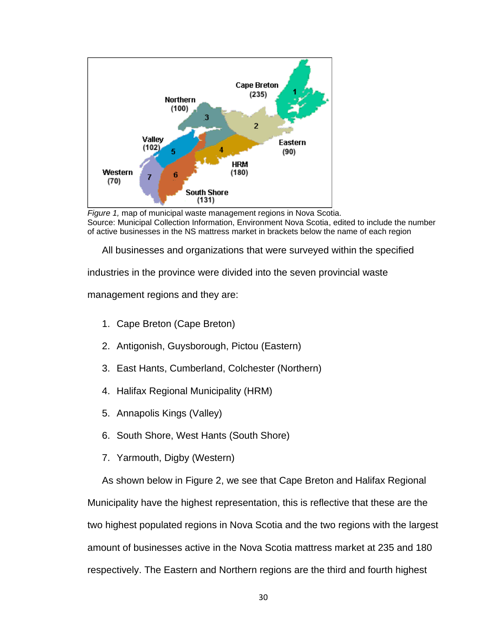<span id="page-29-0"></span>

*Figure 1,* map of municipal waste management regions in Nova Scotia. Source: Municipal Collection Information, Environment Nova Scotia, edited to include the number of active businesses in the NS mattress market in brackets below the name of each region

All businesses and organizations that were surveyed within the specified

industries in the province were divided into the seven provincial waste

management regions and they are:

- 1. Cape Breton (Cape Breton)
- 2. Antigonish, Guysborough, Pictou (Eastern)
- 3. East Hants, Cumberland, Colchester (Northern)
- 4. Halifax Regional Municipality (HRM)
- 5. Annapolis Kings (Valley)
- 6. South Shore, West Hants (South Shore)
- 7. Yarmouth, Digby (Western)

As shown below in Figure 2, we see that Cape Breton and Halifax Regional Municipality have the highest representation, this is reflective that these are the two highest populated regions in Nova Scotia and the two regions with the largest amount of businesses active in the Nova Scotia mattress market at 235 and 180 respectively. The Eastern and Northern regions are the third and fourth highest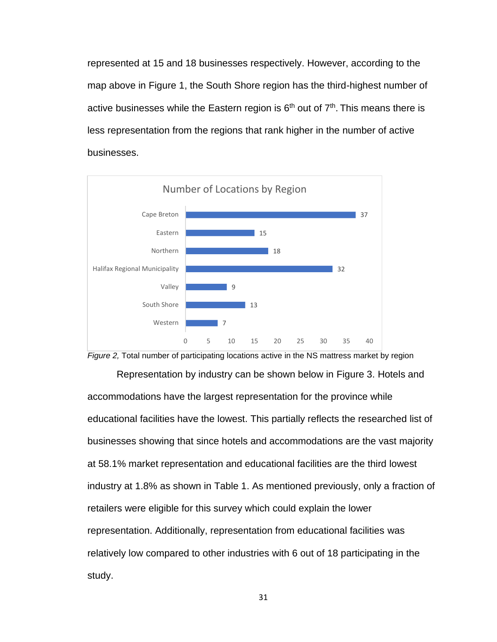represented at 15 and 18 businesses respectively. However, according to the map above in Figure 1, the South Shore region has the third-highest number of active businesses while the Eastern region is  $6<sup>th</sup>$  out of  $7<sup>th</sup>$ . This means there is less representation from the regions that rank higher in the number of active businesses.

<span id="page-30-0"></span>



Representation by industry can be shown below in Figure 3. Hotels and accommodations have the largest representation for the province while educational facilities have the lowest. This partially reflects the researched list of businesses showing that since hotels and accommodations are the vast majority at 58.1% market representation and educational facilities are the third lowest industry at 1.8% as shown in Table 1. As mentioned previously, only a fraction of retailers were eligible for this survey which could explain the lower representation. Additionally, representation from educational facilities was relatively low compared to other industries with 6 out of 18 participating in the study.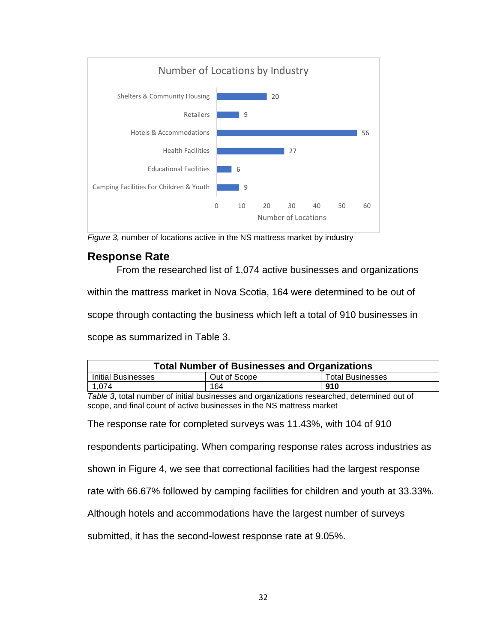<span id="page-31-2"></span>

*Figure 3,* number of locations active in the NS mattress market by industry

## <span id="page-31-0"></span>**Response Rate**

From the researched list of 1,074 active businesses and organizations within the mattress market in Nova Scotia, 164 were determined to be out of scope through contacting the business which left a total of 910 businesses in scope as summarized in Table 3.

| <b>Total Number of Businesses and Organizations</b> |              |                         |  |  |
|-----------------------------------------------------|--------------|-------------------------|--|--|
| <b>Initial Businesses</b>                           | Out of Scope | <b>Total Businesses</b> |  |  |
| 1,074                                               | 164          | 910                     |  |  |

<span id="page-31-1"></span>*Table 3*, total number of initial businesses and organizations researched, determined out of scope, and final count of active businesses in the NS mattress market

The response rate for completed surveys was 11.43%, with 104 of 910

respondents participating. When comparing response rates across industries as

shown in Figure 4, we see that correctional facilities had the largest response

rate with 66.67% followed by camping facilities for children and youth at 33.33%.

Although hotels and accommodations have the largest number of surveys

submitted, it has the second-lowest response rate at 9.05%.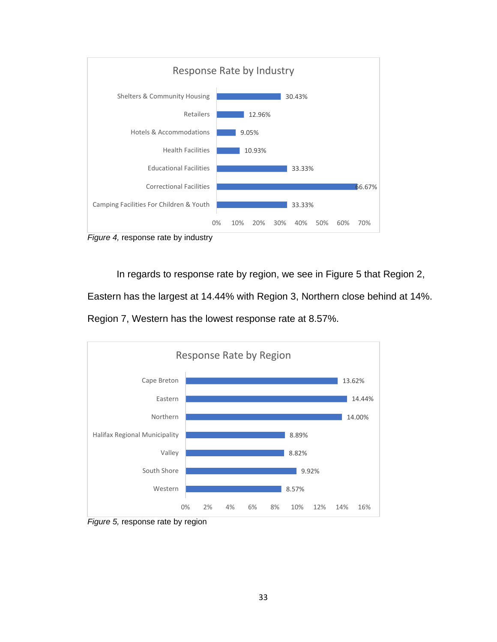<span id="page-32-0"></span>



<span id="page-32-1"></span>In regards to response rate by region, we see in Figure 5 that Region 2,

Eastern has the largest at 14.44% with Region 3, Northern close behind at 14%.

Region 7, Western has the lowest response rate at 8.57%.



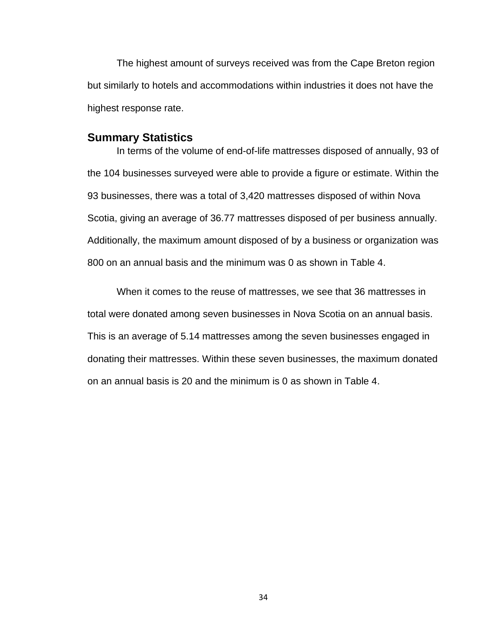The highest amount of surveys received was from the Cape Breton region but similarly to hotels and accommodations within industries it does not have the highest response rate.

#### <span id="page-33-0"></span>**Summary Statistics**

In terms of the volume of end-of-life mattresses disposed of annually, 93 of the 104 businesses surveyed were able to provide a figure or estimate. Within the 93 businesses, there was a total of 3,420 mattresses disposed of within Nova Scotia, giving an average of 36.77 mattresses disposed of per business annually. Additionally, the maximum amount disposed of by a business or organization was 800 on an annual basis and the minimum was 0 as shown in Table 4.

When it comes to the reuse of mattresses, we see that 36 mattresses in total were donated among seven businesses in Nova Scotia on an annual basis. This is an average of 5.14 mattresses among the seven businesses engaged in donating their mattresses. Within these seven businesses, the maximum donated on an annual basis is 20 and the minimum is 0 as shown in Table 4.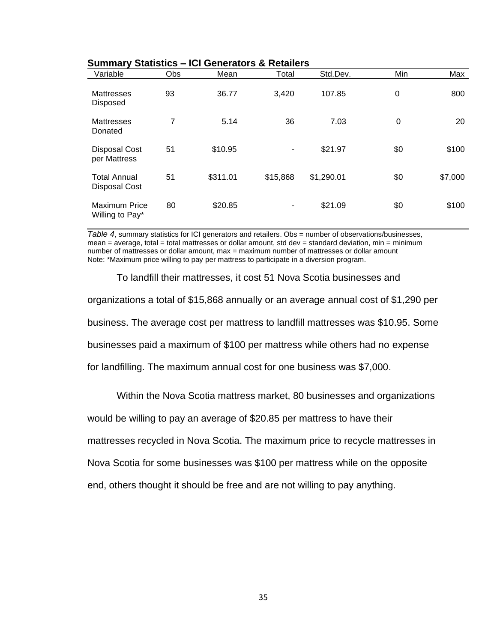| Variable                                    | Obs            | Mean     | Total    | Std.Dev.   | Min | Max     |
|---------------------------------------------|----------------|----------|----------|------------|-----|---------|
| <b>Mattresses</b><br>Disposed               | 93             | 36.77    | 3,420    | 107.85     | 0   | 800     |
| <b>Mattresses</b><br>Donated                | $\overline{7}$ | 5.14     | 36       | 7.03       | 0   | 20      |
| <b>Disposal Cost</b><br>per Mattress        | 51             | \$10.95  | ۰        | \$21.97    | \$0 | \$100   |
| <b>Total Annual</b><br><b>Disposal Cost</b> | 51             | \$311.01 | \$15,868 | \$1,290.01 | \$0 | \$7,000 |
| <b>Maximum Price</b><br>Willing to Pay*     | 80             | \$20.85  | ۰        | \$21.09    | \$0 | \$100   |

#### **Summary Statistics – ICI Generators & Retailers**

<span id="page-34-0"></span>*Table 4*, summary statistics for ICI generators and retailers. Obs = number of observations/businesses, mean = average, total = total mattresses or dollar amount, std dev = standard deviation, min = minimum number of mattresses or dollar amount, max = maximum number of mattresses or dollar amount Note: \*Maximum price willing to pay per mattress to participate in a diversion program.

To landfill their mattresses, it cost 51 Nova Scotia businesses and organizations a total of \$15,868 annually or an average annual cost of \$1,290 per business. The average cost per mattress to landfill mattresses was \$10.95. Some businesses paid a maximum of \$100 per mattress while others had no expense for landfilling. The maximum annual cost for one business was \$7,000.

Within the Nova Scotia mattress market, 80 businesses and organizations

would be willing to pay an average of \$20.85 per mattress to have their

mattresses recycled in Nova Scotia. The maximum price to recycle mattresses in

Nova Scotia for some businesses was \$100 per mattress while on the opposite

end, others thought it should be free and are not willing to pay anything.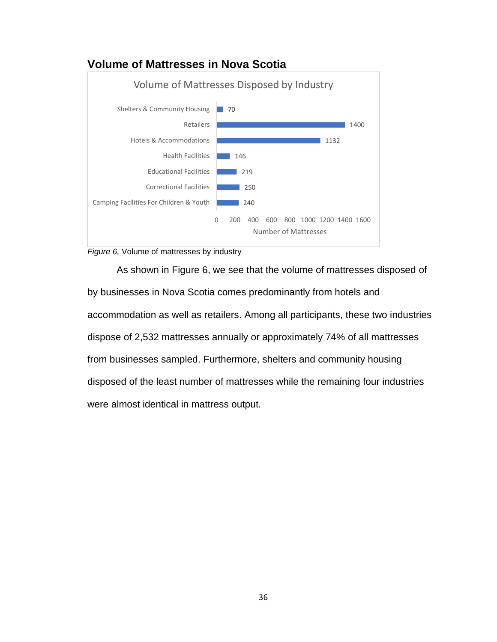## <span id="page-35-0"></span>**Volume of Mattresses in Nova Scotia**

<span id="page-35-1"></span>



As shown in Figure 6, we see that the volume of mattresses disposed of by businesses in Nova Scotia comes predominantly from hotels and accommodation as well as retailers. Among all participants, these two industries dispose of 2,532 mattresses annually or approximately 74% of all mattresses from businesses sampled. Furthermore, shelters and community housing disposed of the least number of mattresses while the remaining four industries were almost identical in mattress output.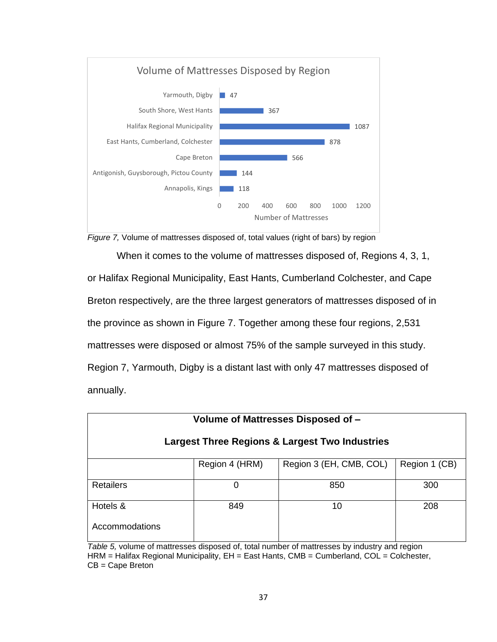



When it comes to the volume of mattresses disposed of, Regions 4, 3, 1, or Halifax Regional Municipality, East Hants, Cumberland Colchester, and Cape Breton respectively, are the three largest generators of mattresses disposed of in the province as shown in Figure 7. Together among these four regions, 2,531 mattresses were disposed or almost 75% of the sample surveyed in this study. Region 7, Yarmouth, Digby is a distant last with only 47 mattresses disposed of annually.

| Volume of Mattresses Disposed of -                        |                |                         |               |  |  |  |
|-----------------------------------------------------------|----------------|-------------------------|---------------|--|--|--|
| <b>Largest Three Regions &amp; Largest Two Industries</b> |                |                         |               |  |  |  |
|                                                           | Region 4 (HRM) | Region 3 (EH, CMB, COL) | Region 1 (CB) |  |  |  |
| <b>Retailers</b>                                          | 0              | 850                     | 300           |  |  |  |
| Hotels &                                                  | 849            | 10                      | 208           |  |  |  |
| Accommodations                                            |                |                         |               |  |  |  |

*Table 5,* volume of mattresses disposed of, total number of mattresses by industry and region HRM = Halifax Regional Municipality, EH = East Hants, CMB = Cumberland, COL = Colchester, CB = Cape Breton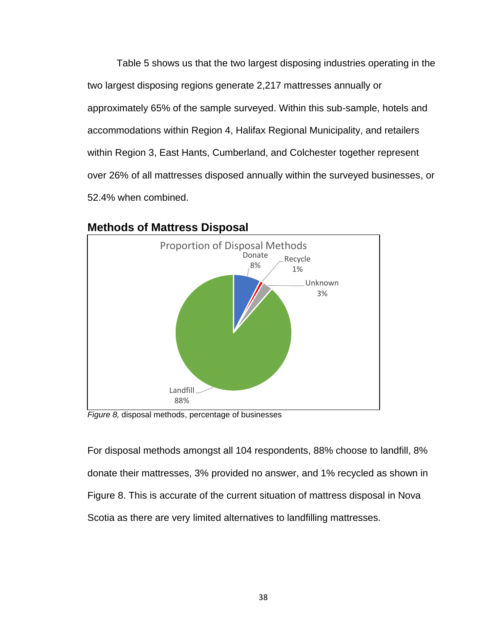Table 5 shows us that the two largest disposing industries operating in the two largest disposing regions generate 2,217 mattresses annually or approximately 65% of the sample surveyed. Within this sub-sample, hotels and accommodations within Region 4, Halifax Regional Municipality, and retailers within Region 3, East Hants, Cumberland, and Colchester together represent over 26% of all mattresses disposed annually within the surveyed businesses, or 52.4% when combined.



### **Methods of Mattress Disposal**

*Figure 8,* disposal methods, percentage of businesses

For disposal methods amongst all 104 respondents, 88% choose to landfill, 8% donate their mattresses, 3% provided no answer, and 1% recycled as shown in Figure 8. This is accurate of the current situation of mattress disposal in Nova Scotia as there are very limited alternatives to landfilling mattresses.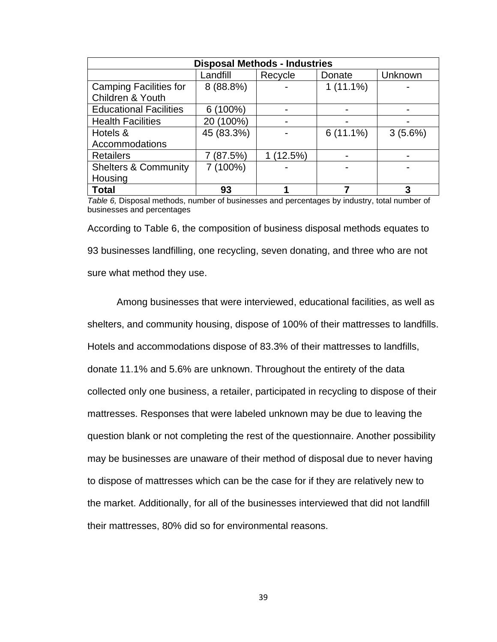| <b>Disposal Methods - Industries</b> |            |          |             |            |  |  |  |
|--------------------------------------|------------|----------|-------------|------------|--|--|--|
|                                      | Landfill   | Recycle  | Donate      | Unknown    |  |  |  |
| <b>Camping Facilities for</b>        | 8 (88.8%)  |          | $1(11.1\%)$ |            |  |  |  |
| Children & Youth                     |            |          |             |            |  |  |  |
| <b>Educational Facilities</b>        | $6(100\%)$ |          |             |            |  |  |  |
| <b>Health Facilities</b>             | 20 (100%)  |          |             |            |  |  |  |
| Hotels &                             | 45 (83.3%) |          | $6(11.1\%)$ | $3(5.6\%)$ |  |  |  |
| Accommodations                       |            |          |             |            |  |  |  |
| <b>Retailers</b>                     | 7 (87.5%)  | 1(12.5%) |             |            |  |  |  |
| <b>Shelters &amp; Community</b>      | 7 (100%)   |          |             |            |  |  |  |
| Housing                              |            |          |             |            |  |  |  |
| <b>Total</b>                         | 93         |          |             | 3          |  |  |  |

*Table 6,* Disposal methods, number of businesses and percentages by industry, total number of businesses and percentages

According to Table 6, the composition of business disposal methods equates to 93 businesses landfilling, one recycling, seven donating, and three who are not sure what method they use.

Among businesses that were interviewed, educational facilities, as well as shelters, and community housing, dispose of 100% of their mattresses to landfills. Hotels and accommodations dispose of 83.3% of their mattresses to landfills, donate 11.1% and 5.6% are unknown. Throughout the entirety of the data collected only one business, a retailer, participated in recycling to dispose of their mattresses. Responses that were labeled unknown may be due to leaving the question blank or not completing the rest of the questionnaire. Another possibility may be businesses are unaware of their method of disposal due to never having to dispose of mattresses which can be the case for if they are relatively new to the market. Additionally, for all of the businesses interviewed that did not landfill their mattresses, 80% did so for environmental reasons.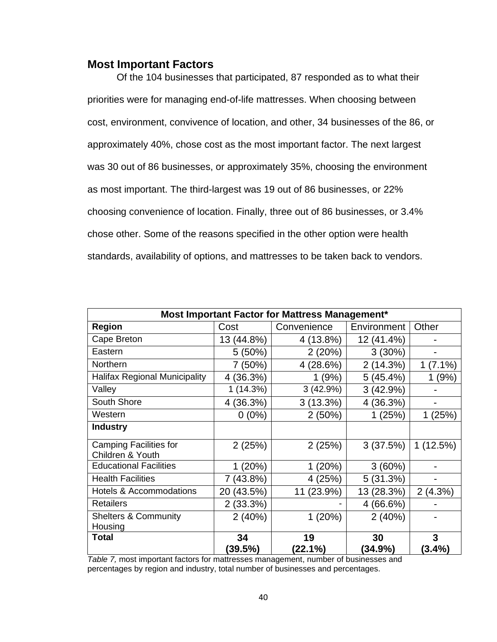### **Most Important Factors**

Of the 104 businesses that participated, 87 responded as to what their priorities were for managing end-of-life mattresses. When choosing between cost, environment, convivence of location, and other, 34 businesses of the 86, or approximately 40%, chose cost as the most important factor. The next largest was 30 out of 86 businesses, or approximately 35%, choosing the environment as most important. The third-largest was 19 out of 86 businesses, or 22% choosing convenience of location. Finally, three out of 86 businesses, or 3.4% chose other. Some of the reasons specified in the other option were health standards, availability of options, and mattresses to be taken back to vendors.

| Most Important Factor for Mattress Management*    |               |                  |                  |                |  |  |  |  |
|---------------------------------------------------|---------------|------------------|------------------|----------------|--|--|--|--|
| <b>Region</b>                                     | Cost          | Convenience      | Environment      | Other          |  |  |  |  |
| Cape Breton                                       | 13 (44.8%)    | 4 (13.8%)        | 12 (41.4%)       |                |  |  |  |  |
| Eastern                                           | $5(50\%)$     | 2(20%)           | $3(30\%)$        |                |  |  |  |  |
| Northern                                          | 7 (50%)       | 4 (28.6%)        | 2(14.3%)         | $(7.1\%)$<br>1 |  |  |  |  |
| <b>Halifax Regional Municipality</b>              | 4 (36.3%)     | 1(9%)            | 5(45.4%)         | 1(9%)          |  |  |  |  |
| Valley                                            | 1(14.3%)      | 3(42.9%)         | 3(42.9%)         |                |  |  |  |  |
| South Shore                                       | 4 (36.3%)     | 3(13.3%)         | 4 (36.3%)        |                |  |  |  |  |
| Western                                           | $0(0\%)$      | 2(50%)           | 1(25%)           | 1(25%)         |  |  |  |  |
| <b>Industry</b>                                   |               |                  |                  |                |  |  |  |  |
| <b>Camping Facilities for</b><br>Children & Youth | 2(25%)        | 2(25%)           | 3(37.5%)         | 1(12.5%)       |  |  |  |  |
| <b>Educational Facilities</b>                     | 1(20%)        | 1(20%)           | 3(60%)           |                |  |  |  |  |
| <b>Health Facilities</b>                          | 7 (43.8%)     | 4 (25%)          | 5(31.3%)         |                |  |  |  |  |
| <b>Hotels &amp; Accommodations</b>                | 20 (43.5%)    | 11 (23.9%)       | 13 (28.3%)       | 2(4.3%)        |  |  |  |  |
| <b>Retailers</b>                                  | 2(33.3%)      |                  | 4(66.6%)         |                |  |  |  |  |
| <b>Shelters &amp; Community</b><br>Housing        | 2(40%)        | 1(20%)           | 2(40%)           |                |  |  |  |  |
| Total                                             | 34<br>(39.5%) | 19<br>$(22.1\%)$ | 30<br>$(34.9\%)$ | 3<br>$(3.4\%)$ |  |  |  |  |

*Table 7,* most important factors for mattresses management, number of businesses and percentages by region and industry, total number of businesses and percentages.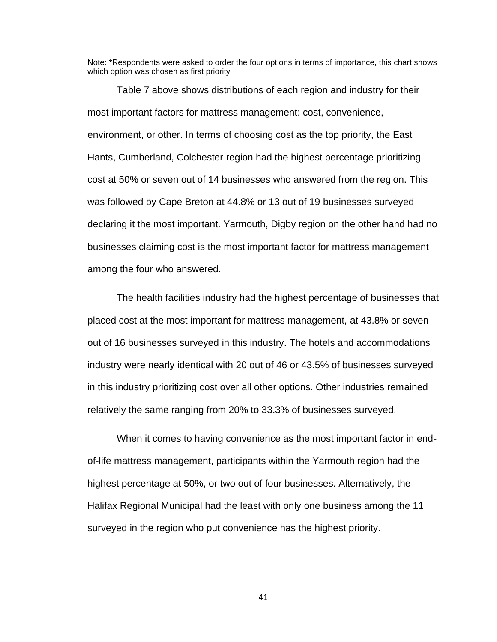Note: **\***Respondents were asked to order the four options in terms of importance, this chart shows which option was chosen as first priority

Table 7 above shows distributions of each region and industry for their most important factors for mattress management: cost, convenience, environment, or other. In terms of choosing cost as the top priority, the East Hants, Cumberland, Colchester region had the highest percentage prioritizing cost at 50% or seven out of 14 businesses who answered from the region. This was followed by Cape Breton at 44.8% or 13 out of 19 businesses surveyed declaring it the most important. Yarmouth, Digby region on the other hand had no businesses claiming cost is the most important factor for mattress management among the four who answered.

The health facilities industry had the highest percentage of businesses that placed cost at the most important for mattress management, at 43.8% or seven out of 16 businesses surveyed in this industry. The hotels and accommodations industry were nearly identical with 20 out of 46 or 43.5% of businesses surveyed in this industry prioritizing cost over all other options. Other industries remained relatively the same ranging from 20% to 33.3% of businesses surveyed.

When it comes to having convenience as the most important factor in endof-life mattress management, participants within the Yarmouth region had the highest percentage at 50%, or two out of four businesses. Alternatively, the Halifax Regional Municipal had the least with only one business among the 11 surveyed in the region who put convenience has the highest priority.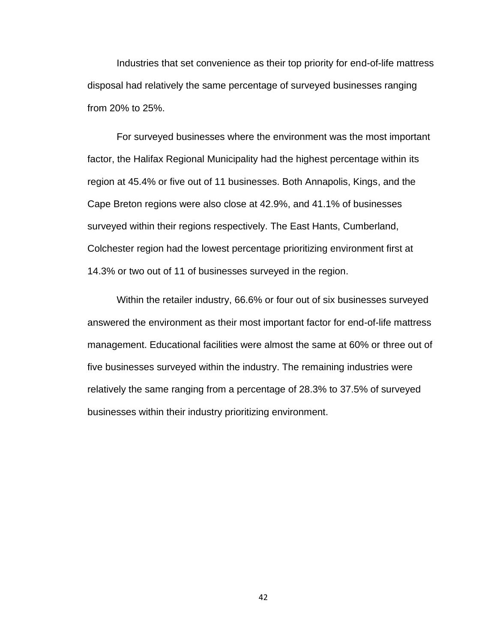Industries that set convenience as their top priority for end-of-life mattress disposal had relatively the same percentage of surveyed businesses ranging from 20% to 25%.

For surveyed businesses where the environment was the most important factor, the Halifax Regional Municipality had the highest percentage within its region at 45.4% or five out of 11 businesses. Both Annapolis, Kings, and the Cape Breton regions were also close at 42.9%, and 41.1% of businesses surveyed within their regions respectively. The East Hants, Cumberland, Colchester region had the lowest percentage prioritizing environment first at 14.3% or two out of 11 of businesses surveyed in the region.

Within the retailer industry, 66.6% or four out of six businesses surveyed answered the environment as their most important factor for end-of-life mattress management. Educational facilities were almost the same at 60% or three out of five businesses surveyed within the industry. The remaining industries were relatively the same ranging from a percentage of 28.3% to 37.5% of surveyed businesses within their industry prioritizing environment.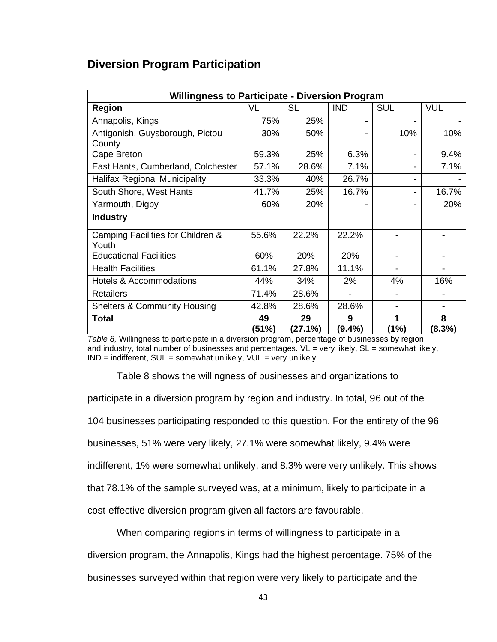### **Diversion Program Participation**

| <b>Willingness to Participate - Diversion Program</b> |             |               |                |                |                          |  |
|-------------------------------------------------------|-------------|---------------|----------------|----------------|--------------------------|--|
| <b>Region</b>                                         | VL          | <b>SL</b>     | <b>IND</b>     | <b>SUL</b>     | <b>VUL</b>               |  |
| Annapolis, Kings                                      | 75%         | 25%           |                |                |                          |  |
| Antigonish, Guysborough, Pictou<br>County             | 30%         | 50%           |                | 10%            | 10%                      |  |
| Cape Breton                                           | 59.3%       | 25%           | 6.3%           |                | 9.4%                     |  |
| East Hants, Cumberland, Colchester                    | 57.1%       | 28.6%         | 7.1%           |                | 7.1%                     |  |
| <b>Halifax Regional Municipality</b>                  | 33.3%       | 40%           | 26.7%          |                |                          |  |
| South Shore, West Hants                               | 41.7%       | 25%           | 16.7%          |                | 16.7%                    |  |
| Yarmouth, Digby                                       | 60%         | 20%           |                |                | 20%                      |  |
| <b>Industry</b>                                       |             |               |                |                |                          |  |
| Camping Facilities for Children &<br>Youth            | 55.6%       | 22.2%         | 22.2%          |                |                          |  |
| <b>Educational Facilities</b>                         | 60%         | 20%           | 20%            |                |                          |  |
| <b>Health Facilities</b>                              | 61.1%       | 27.8%         | 11.1%          |                |                          |  |
| <b>Hotels &amp; Accommodations</b>                    | 44%         | 34%           | 2%             | 4%             | 16%                      |  |
| <b>Retailers</b>                                      | 71.4%       | 28.6%         | $\blacksquare$ | $\blacksquare$ |                          |  |
| <b>Shelters &amp; Community Housing</b>               | 42.8%       | 28.6%         | 28.6%          | -              | $\overline{\phantom{a}}$ |  |
| <b>Total</b>                                          | 49<br>(51%) | 29<br>(27.1%) | 9<br>(9.4%)    | 1<br>(1%)      | 8<br>$(8.3\%)$           |  |

*Table 8,* Willingness to participate in a diversion program, percentage of businesses by region and industry, total number of businesses and percentages. VL = very likely, SL = somewhat likely,  $IND = indifferent$ ,  $SUL = somewhat unlikely$ ,  $VUL = very unlikely$ 

Table 8 shows the willingness of businesses and organizations to participate in a diversion program by region and industry. In total, 96 out of the 104 businesses participating responded to this question. For the entirety of the 96 businesses, 51% were very likely, 27.1% were somewhat likely, 9.4% were indifferent, 1% were somewhat unlikely, and 8.3% were very unlikely. This shows that 78.1% of the sample surveyed was, at a minimum, likely to participate in a cost-effective diversion program given all factors are favourable.

When comparing regions in terms of willingness to participate in a diversion program, the Annapolis, Kings had the highest percentage. 75% of the businesses surveyed within that region were very likely to participate and the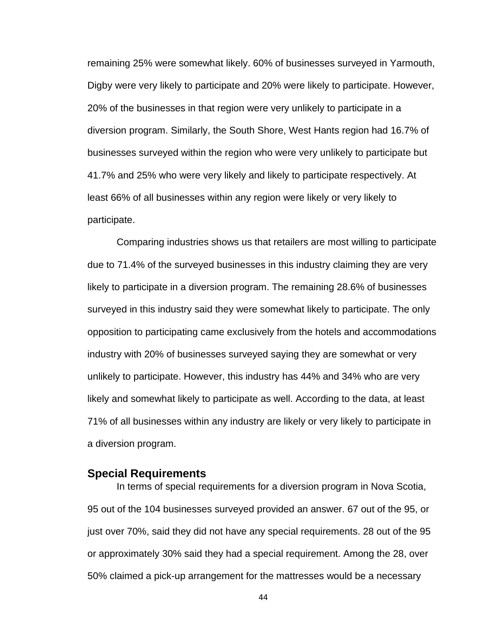remaining 25% were somewhat likely. 60% of businesses surveyed in Yarmouth, Digby were very likely to participate and 20% were likely to participate. However, 20% of the businesses in that region were very unlikely to participate in a diversion program. Similarly, the South Shore, West Hants region had 16.7% of businesses surveyed within the region who were very unlikely to participate but 41.7% and 25% who were very likely and likely to participate respectively. At least 66% of all businesses within any region were likely or very likely to participate.

Comparing industries shows us that retailers are most willing to participate due to 71.4% of the surveyed businesses in this industry claiming they are very likely to participate in a diversion program. The remaining 28.6% of businesses surveyed in this industry said they were somewhat likely to participate. The only opposition to participating came exclusively from the hotels and accommodations industry with 20% of businesses surveyed saying they are somewhat or very unlikely to participate. However, this industry has 44% and 34% who are very likely and somewhat likely to participate as well. According to the data, at least 71% of all businesses within any industry are likely or very likely to participate in a diversion program.

### **Special Requirements**

In terms of special requirements for a diversion program in Nova Scotia, 95 out of the 104 businesses surveyed provided an answer. 67 out of the 95, or just over 70%, said they did not have any special requirements. 28 out of the 95 or approximately 30% said they had a special requirement. Among the 28, over 50% claimed a pick-up arrangement for the mattresses would be a necessary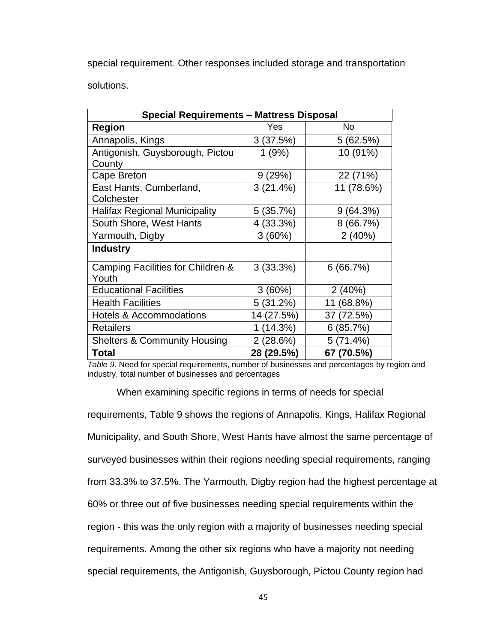special requirement. Other responses included storage and transportation solutions.

| <b>Special Requirements - Mattress Disposal</b> |            |            |  |  |  |
|-------------------------------------------------|------------|------------|--|--|--|
| <b>Region</b>                                   | Yes        | No         |  |  |  |
| Annapolis, Kings                                | 3(37.5%)   | 5(62.5%)   |  |  |  |
| Antigonish, Guysborough, Pictou                 | 1(9%)      | 10 (91%)   |  |  |  |
| County                                          |            |            |  |  |  |
| Cape Breton                                     | 9(29%)     | 22 (71%)   |  |  |  |
| East Hants, Cumberland,                         | 3(21.4%)   | 11 (78.6%) |  |  |  |
| Colchester                                      |            |            |  |  |  |
| <b>Halifax Regional Municipality</b>            | 5(35.7%)   | 9(64.3%)   |  |  |  |
| South Shore, West Hants                         | 4 (33.3%)  | 8(66.7%)   |  |  |  |
| Yarmouth, Digby                                 | 3(60%)     | 2(40%)     |  |  |  |
| <b>Industry</b>                                 |            |            |  |  |  |
| Camping Facilities for Children &<br>Youth      | 3(33.3%)   | 6(66.7%)   |  |  |  |
| <b>Educational Facilities</b>                   | 3(60%)     | 2(40%)     |  |  |  |
| <b>Health Facilities</b>                        | 5(31.2%)   | 11 (68.8%) |  |  |  |
| <b>Hotels &amp; Accommodations</b>              | 14 (27.5%) | 37 (72.5%) |  |  |  |
| <b>Retailers</b>                                | 1(14.3%)   | 6(85.7%)   |  |  |  |
| <b>Shelters &amp; Community Housing</b>         | 2 (28.6%)  | 5(71.4%)   |  |  |  |
| <b>Total</b>                                    | 28 (29.5%) | 67 (70.5%) |  |  |  |

*Table 9*. Need for special requirements, number of businesses and percentages by region and industry, total number of businesses and percentages

When examining specific regions in terms of needs for special

requirements, Table 9 shows the regions of Annapolis, Kings, Halifax Regional Municipality, and South Shore, West Hants have almost the same percentage of surveyed businesses within their regions needing special requirements, ranging from 33.3% to 37.5%. The Yarmouth, Digby region had the highest percentage at 60% or three out of five businesses needing special requirements within the region - this was the only region with a majority of businesses needing special requirements. Among the other six regions who have a majority not needing special requirements, the Antigonish, Guysborough, Pictou County region had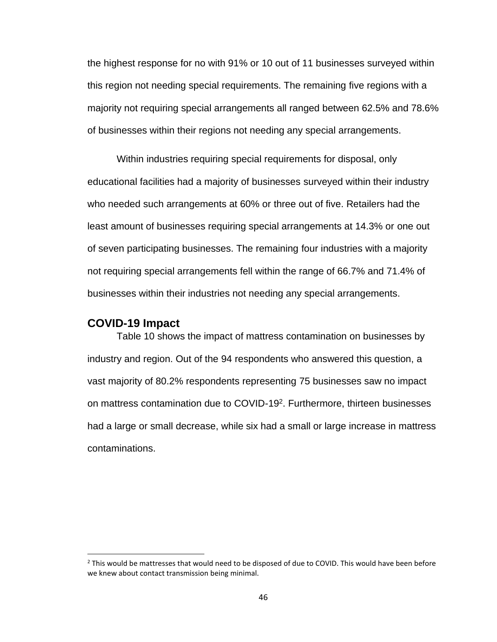the highest response for no with 91% or 10 out of 11 businesses surveyed within this region not needing special requirements. The remaining five regions with a majority not requiring special arrangements all ranged between 62.5% and 78.6% of businesses within their regions not needing any special arrangements.

Within industries requiring special requirements for disposal, only educational facilities had a majority of businesses surveyed within their industry who needed such arrangements at 60% or three out of five. Retailers had the least amount of businesses requiring special arrangements at 14.3% or one out of seven participating businesses. The remaining four industries with a majority not requiring special arrangements fell within the range of 66.7% and 71.4% of businesses within their industries not needing any special arrangements.

#### **COVID-19 Impact**

Table 10 shows the impact of mattress contamination on businesses by industry and region. Out of the 94 respondents who answered this question, a vast majority of 80.2% respondents representing 75 businesses saw no impact on mattress contamination due to COVID-19<sup>2</sup>. Furthermore, thirteen businesses had a large or small decrease, while six had a small or large increase in mattress contaminations.

 $2$  This would be mattresses that would need to be disposed of due to COVID. This would have been before we knew about contact transmission being minimal.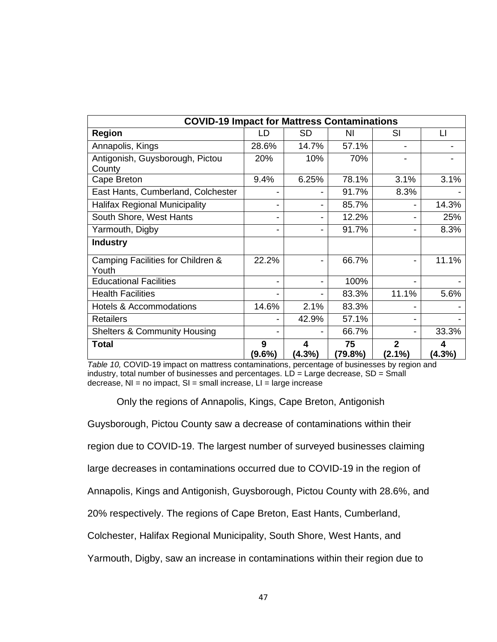| <b>COVID-19 Impact for Mattress Contaminations</b> |                |                |               |                             |                |  |
|----------------------------------------------------|----------------|----------------|---------------|-----------------------------|----------------|--|
| <b>Region</b>                                      | LD             | <b>SD</b>      | NI            | SI                          | LI             |  |
| Annapolis, Kings                                   | 28.6%          | 14.7%          | 57.1%         |                             |                |  |
| Antigonish, Guysborough, Pictou<br>County          | 20%            | 10%            | 70%           |                             |                |  |
| Cape Breton                                        | 9.4%           | 6.25%          | 78.1%         | 3.1%                        | 3.1%           |  |
| East Hants, Cumberland, Colchester                 |                |                | 91.7%         | 8.3%                        |                |  |
| <b>Halifax Regional Municipality</b>               |                | -              | 85.7%         |                             | 14.3%          |  |
| South Shore, West Hants                            |                | -              | 12.2%         |                             | 25%            |  |
| Yarmouth, Digby                                    |                | -              | 91.7%         |                             | 8.3%           |  |
| <b>Industry</b>                                    |                |                |               |                             |                |  |
| Camping Facilities for Children &<br>Youth         | 22.2%          |                | 66.7%         |                             | 11.1%          |  |
| <b>Educational Facilities</b>                      |                | $\blacksquare$ | 100%          |                             |                |  |
| <b>Health Facilities</b>                           |                |                | 83.3%         | 11.1%                       | 5.6%           |  |
| <b>Hotels &amp; Accommodations</b>                 | 14.6%          | 2.1%           | 83.3%         |                             |                |  |
| <b>Retailers</b>                                   |                | 42.9%          | 57.1%         |                             |                |  |
| <b>Shelters &amp; Community Housing</b>            |                |                | 66.7%         |                             | 33.3%          |  |
| <b>Total</b>                                       | 9<br>$(9.6\%)$ | 4<br>$(4.3\%)$ | 75<br>(79.8%) | $\overline{2}$<br>$(2.1\%)$ | 4<br>$(4.3\%)$ |  |

*Table 10,* COVID-19 impact on mattress contaminations, percentage of businesses by region and industry, total number of businesses and percentages. LD = Large decrease, SD = Small decrease,  $NI = no$  impact,  $SI = small$  increase,  $LI = large$  increase

Only the regions of Annapolis, Kings, Cape Breton, Antigonish

Guysborough, Pictou County saw a decrease of contaminations within their

region due to COVID-19. The largest number of surveyed businesses claiming

large decreases in contaminations occurred due to COVID-19 in the region of

Annapolis, Kings and Antigonish, Guysborough, Pictou County with 28.6%, and

20% respectively. The regions of Cape Breton, East Hants, Cumberland,

Colchester, Halifax Regional Municipality, South Shore, West Hants, and

Yarmouth, Digby, saw an increase in contaminations within their region due to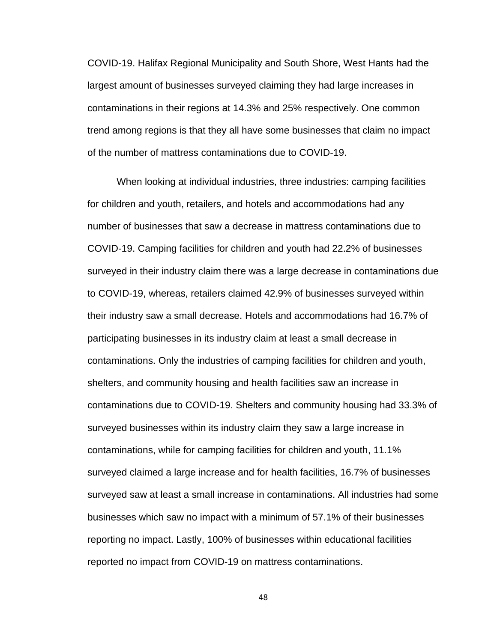COVID-19. Halifax Regional Municipality and South Shore, West Hants had the largest amount of businesses surveyed claiming they had large increases in contaminations in their regions at 14.3% and 25% respectively. One common trend among regions is that they all have some businesses that claim no impact of the number of mattress contaminations due to COVID-19.

When looking at individual industries, three industries: camping facilities for children and youth, retailers, and hotels and accommodations had any number of businesses that saw a decrease in mattress contaminations due to COVID-19. Camping facilities for children and youth had 22.2% of businesses surveyed in their industry claim there was a large decrease in contaminations due to COVID-19, whereas, retailers claimed 42.9% of businesses surveyed within their industry saw a small decrease. Hotels and accommodations had 16.7% of participating businesses in its industry claim at least a small decrease in contaminations. Only the industries of camping facilities for children and youth, shelters, and community housing and health facilities saw an increase in contaminations due to COVID-19. Shelters and community housing had 33.3% of surveyed businesses within its industry claim they saw a large increase in contaminations, while for camping facilities for children and youth, 11.1% surveyed claimed a large increase and for health facilities, 16.7% of businesses surveyed saw at least a small increase in contaminations. All industries had some businesses which saw no impact with a minimum of 57.1% of their businesses reporting no impact. Lastly, 100% of businesses within educational facilities reported no impact from COVID-19 on mattress contaminations.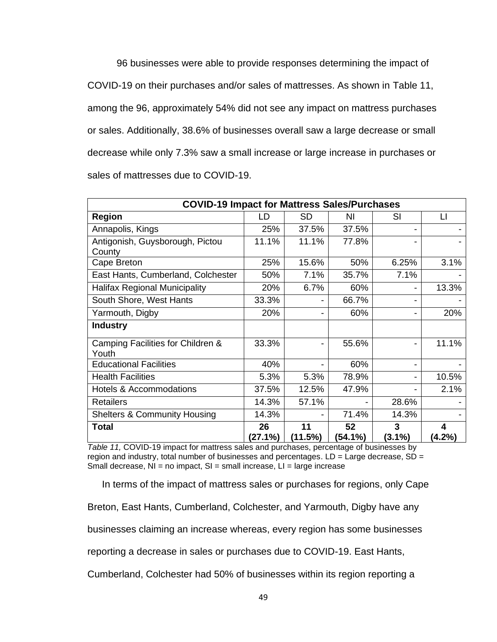96 businesses were able to provide responses determining the impact of COVID-19 on their purchases and/or sales of mattresses. As shown in Table 11, among the 96, approximately 54% did not see any impact on mattress purchases or sales. Additionally, 38.6% of businesses overall saw a large decrease or small decrease while only 7.3% saw a small increase or large increase in purchases or sales of mattresses due to COVID-19.

| <b>COVID-19 Impact for Mattress Sales/Purchases</b> |               |               |               |                |                |  |
|-----------------------------------------------------|---------------|---------------|---------------|----------------|----------------|--|
| <b>Region</b>                                       | LD            | <b>SD</b>     | ΝI            | SI             | LI             |  |
| Annapolis, Kings                                    | 25%           | 37.5%         | 37.5%         |                |                |  |
| Antigonish, Guysborough, Pictou<br>County           | 11.1%         | 11.1%         | 77.8%         |                |                |  |
| Cape Breton                                         | 25%           | 15.6%         | 50%           | 6.25%          | 3.1%           |  |
| East Hants, Cumberland, Colchester                  | 50%           | 7.1%          | 35.7%         | 7.1%           |                |  |
| <b>Halifax Regional Municipality</b>                | 20%           | 6.7%          | 60%           |                | 13.3%          |  |
| South Shore, West Hants                             | 33.3%         | -             | 66.7%         |                |                |  |
| Yarmouth, Digby                                     | 20%           | -             | 60%           |                | 20%            |  |
| <b>Industry</b>                                     |               |               |               |                |                |  |
| Camping Facilities for Children &<br>Youth          | 33.3%         | -             | 55.6%         |                | 11.1%          |  |
| <b>Educational Facilities</b>                       | 40%           |               | 60%           |                |                |  |
| <b>Health Facilities</b>                            | 5.3%          | 5.3%          | 78.9%         |                | 10.5%          |  |
| <b>Hotels &amp; Accommodations</b>                  | 37.5%         | 12.5%         | 47.9%         |                | 2.1%           |  |
| <b>Retailers</b>                                    | 14.3%         | 57.1%         |               | 28.6%          |                |  |
| <b>Shelters &amp; Community Housing</b>             | 14.3%         |               | 71.4%         | 14.3%          |                |  |
| <b>Total</b>                                        | 26<br>(27.1%) | 11<br>(11.5%) | 52<br>(54.1%) | 3<br>$(3.1\%)$ | 4<br>$(4.2\%)$ |  |

*Table 11,* COVID-19 impact for mattress sales and purchases, percentage of businesses by region and industry, total number of businesses and percentages.  $LD =$  Large decrease,  $SD =$ Small decrease,  $NI = no$  impact,  $SI = small$  increase,  $LI = large$  increase

In terms of the impact of mattress sales or purchases for regions, only Cape

Breton, East Hants, Cumberland, Colchester, and Yarmouth, Digby have any

businesses claiming an increase whereas, every region has some businesses

reporting a decrease in sales or purchases due to COVID-19. East Hants,

Cumberland, Colchester had 50% of businesses within its region reporting a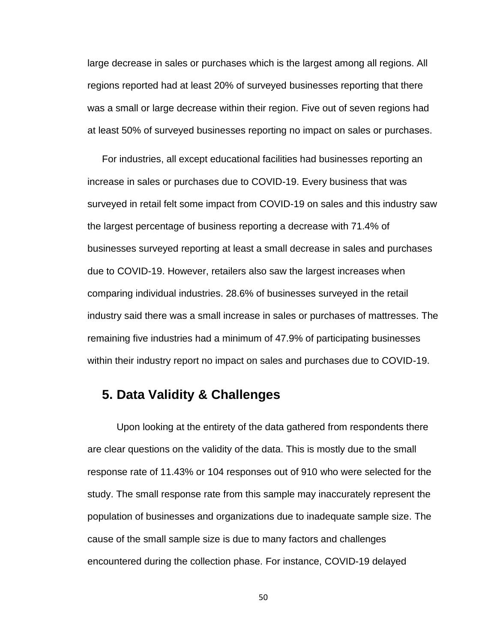large decrease in sales or purchases which is the largest among all regions. All regions reported had at least 20% of surveyed businesses reporting that there was a small or large decrease within their region. Five out of seven regions had at least 50% of surveyed businesses reporting no impact on sales or purchases.

For industries, all except educational facilities had businesses reporting an increase in sales or purchases due to COVID-19. Every business that was surveyed in retail felt some impact from COVID-19 on sales and this industry saw the largest percentage of business reporting a decrease with 71.4% of businesses surveyed reporting at least a small decrease in sales and purchases due to COVID-19. However, retailers also saw the largest increases when comparing individual industries. 28.6% of businesses surveyed in the retail industry said there was a small increase in sales or purchases of mattresses. The remaining five industries had a minimum of 47.9% of participating businesses within their industry report no impact on sales and purchases due to COVID-19.

## **5. Data Validity & Challenges**

Upon looking at the entirety of the data gathered from respondents there are clear questions on the validity of the data. This is mostly due to the small response rate of 11.43% or 104 responses out of 910 who were selected for the study. The small response rate from this sample may inaccurately represent the population of businesses and organizations due to inadequate sample size. The cause of the small sample size is due to many factors and challenges encountered during the collection phase. For instance, COVID-19 delayed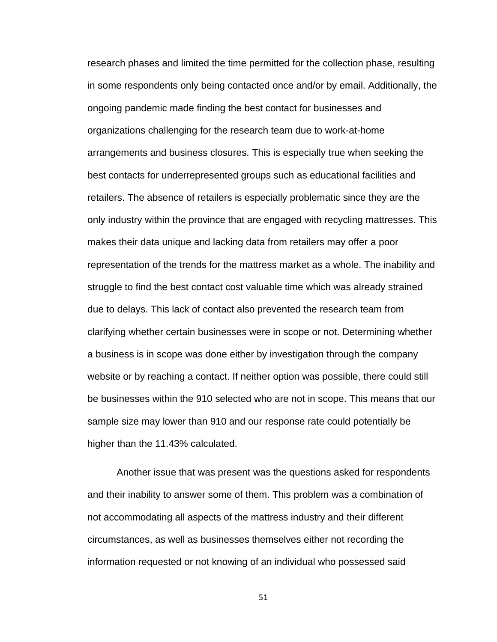research phases and limited the time permitted for the collection phase, resulting in some respondents only being contacted once and/or by email. Additionally, the ongoing pandemic made finding the best contact for businesses and organizations challenging for the research team due to work-at-home arrangements and business closures. This is especially true when seeking the best contacts for underrepresented groups such as educational facilities and retailers. The absence of retailers is especially problematic since they are the only industry within the province that are engaged with recycling mattresses. This makes their data unique and lacking data from retailers may offer a poor representation of the trends for the mattress market as a whole. The inability and struggle to find the best contact cost valuable time which was already strained due to delays. This lack of contact also prevented the research team from clarifying whether certain businesses were in scope or not. Determining whether a business is in scope was done either by investigation through the company website or by reaching a contact. If neither option was possible, there could still be businesses within the 910 selected who are not in scope. This means that our sample size may lower than 910 and our response rate could potentially be higher than the 11.43% calculated.

Another issue that was present was the questions asked for respondents and their inability to answer some of them. This problem was a combination of not accommodating all aspects of the mattress industry and their different circumstances, as well as businesses themselves either not recording the information requested or not knowing of an individual who possessed said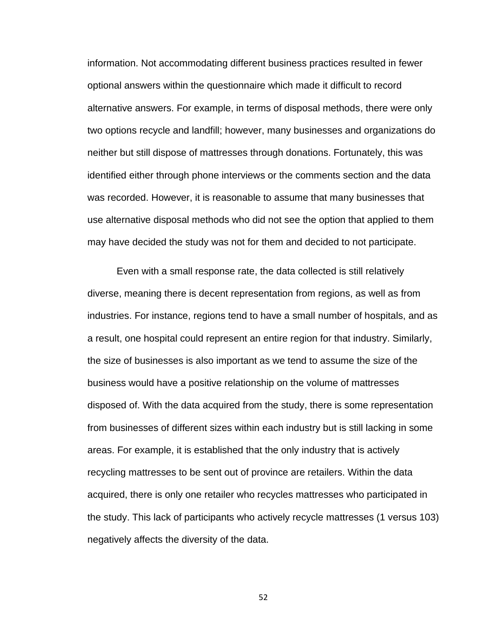information. Not accommodating different business practices resulted in fewer optional answers within the questionnaire which made it difficult to record alternative answers. For example, in terms of disposal methods, there were only two options recycle and landfill; however, many businesses and organizations do neither but still dispose of mattresses through donations. Fortunately, this was identified either through phone interviews or the comments section and the data was recorded. However, it is reasonable to assume that many businesses that use alternative disposal methods who did not see the option that applied to them may have decided the study was not for them and decided to not participate.

Even with a small response rate, the data collected is still relatively diverse, meaning there is decent representation from regions, as well as from industries. For instance, regions tend to have a small number of hospitals, and as a result, one hospital could represent an entire region for that industry. Similarly, the size of businesses is also important as we tend to assume the size of the business would have a positive relationship on the volume of mattresses disposed of. With the data acquired from the study, there is some representation from businesses of different sizes within each industry but is still lacking in some areas. For example, it is established that the only industry that is actively recycling mattresses to be sent out of province are retailers. Within the data acquired, there is only one retailer who recycles mattresses who participated in the study. This lack of participants who actively recycle mattresses (1 versus 103) negatively affects the diversity of the data.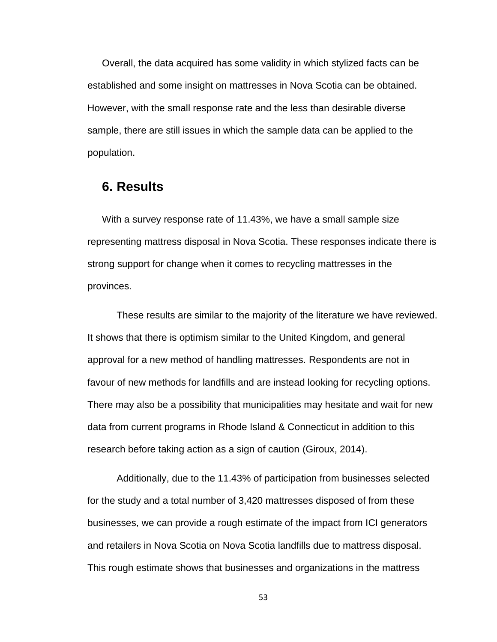Overall, the data acquired has some validity in which stylized facts can be established and some insight on mattresses in Nova Scotia can be obtained. However, with the small response rate and the less than desirable diverse sample, there are still issues in which the sample data can be applied to the population.

### **6. Results**

With a survey response rate of 11.43%, we have a small sample size representing mattress disposal in Nova Scotia. These responses indicate there is strong support for change when it comes to recycling mattresses in the provinces.

These results are similar to the majority of the literature we have reviewed. It shows that there is optimism similar to the United Kingdom, and general approval for a new method of handling mattresses. Respondents are not in favour of new methods for landfills and are instead looking for recycling options. There may also be a possibility that municipalities may hesitate and wait for new data from current programs in Rhode Island & Connecticut in addition to this research before taking action as a sign of caution (Giroux, 2014).

Additionally, due to the 11.43% of participation from businesses selected for the study and a total number of 3,420 mattresses disposed of from these businesses, we can provide a rough estimate of the impact from ICI generators and retailers in Nova Scotia on Nova Scotia landfills due to mattress disposal. This rough estimate shows that businesses and organizations in the mattress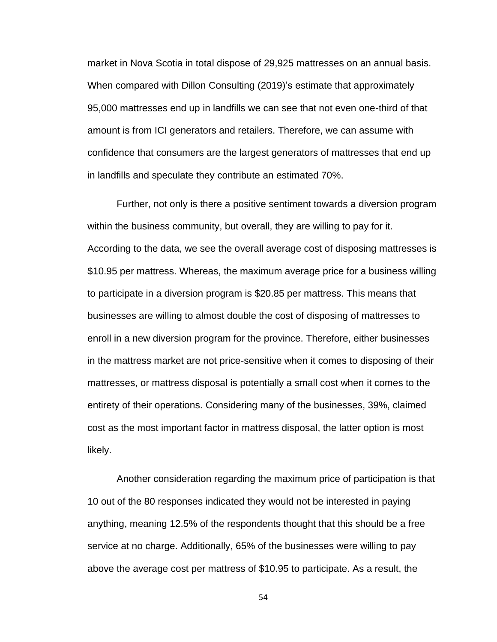market in Nova Scotia in total dispose of 29,925 mattresses on an annual basis. When compared with Dillon Consulting (2019)'s estimate that approximately 95,000 mattresses end up in landfills we can see that not even one-third of that amount is from ICI generators and retailers. Therefore, we can assume with confidence that consumers are the largest generators of mattresses that end up in landfills and speculate they contribute an estimated 70%.

Further, not only is there a positive sentiment towards a diversion program within the business community, but overall, they are willing to pay for it. According to the data, we see the overall average cost of disposing mattresses is \$10.95 per mattress. Whereas, the maximum average price for a business willing to participate in a diversion program is \$20.85 per mattress. This means that businesses are willing to almost double the cost of disposing of mattresses to enroll in a new diversion program for the province. Therefore, either businesses in the mattress market are not price-sensitive when it comes to disposing of their mattresses, or mattress disposal is potentially a small cost when it comes to the entirety of their operations. Considering many of the businesses, 39%, claimed cost as the most important factor in mattress disposal, the latter option is most likely.

Another consideration regarding the maximum price of participation is that 10 out of the 80 responses indicated they would not be interested in paying anything, meaning 12.5% of the respondents thought that this should be a free service at no charge. Additionally, 65% of the businesses were willing to pay above the average cost per mattress of \$10.95 to participate. As a result, the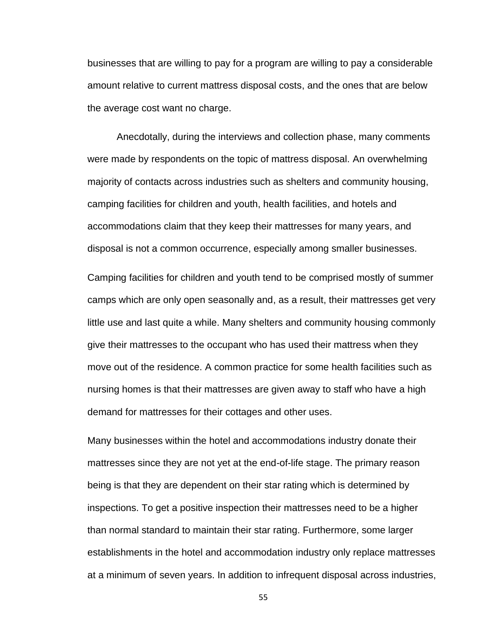businesses that are willing to pay for a program are willing to pay a considerable amount relative to current mattress disposal costs, and the ones that are below the average cost want no charge.

Anecdotally, during the interviews and collection phase, many comments were made by respondents on the topic of mattress disposal. An overwhelming majority of contacts across industries such as shelters and community housing, camping facilities for children and youth, health facilities, and hotels and accommodations claim that they keep their mattresses for many years, and disposal is not a common occurrence, especially among smaller businesses.

Camping facilities for children and youth tend to be comprised mostly of summer camps which are only open seasonally and, as a result, their mattresses get very little use and last quite a while. Many shelters and community housing commonly give their mattresses to the occupant who has used their mattress when they move out of the residence. A common practice for some health facilities such as nursing homes is that their mattresses are given away to staff who have a high demand for mattresses for their cottages and other uses.

Many businesses within the hotel and accommodations industry donate their mattresses since they are not yet at the end-of-life stage. The primary reason being is that they are dependent on their star rating which is determined by inspections. To get a positive inspection their mattresses need to be a higher than normal standard to maintain their star rating. Furthermore, some larger establishments in the hotel and accommodation industry only replace mattresses at a minimum of seven years. In addition to infrequent disposal across industries,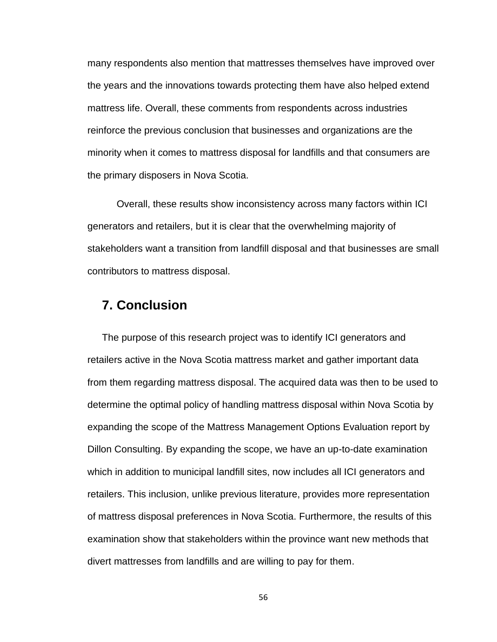many respondents also mention that mattresses themselves have improved over the years and the innovations towards protecting them have also helped extend mattress life. Overall, these comments from respondents across industries reinforce the previous conclusion that businesses and organizations are the minority when it comes to mattress disposal for landfills and that consumers are the primary disposers in Nova Scotia.

Overall, these results show inconsistency across many factors within ICI generators and retailers, but it is clear that the overwhelming majority of stakeholders want a transition from landfill disposal and that businesses are small contributors to mattress disposal.

# **7. Conclusion**

The purpose of this research project was to identify ICI generators and retailers active in the Nova Scotia mattress market and gather important data from them regarding mattress disposal. The acquired data was then to be used to determine the optimal policy of handling mattress disposal within Nova Scotia by expanding the scope of the Mattress Management Options Evaluation report by Dillon Consulting. By expanding the scope, we have an up-to-date examination which in addition to municipal landfill sites, now includes all ICI generators and retailers. This inclusion, unlike previous literature, provides more representation of mattress disposal preferences in Nova Scotia. Furthermore, the results of this examination show that stakeholders within the province want new methods that divert mattresses from landfills and are willing to pay for them.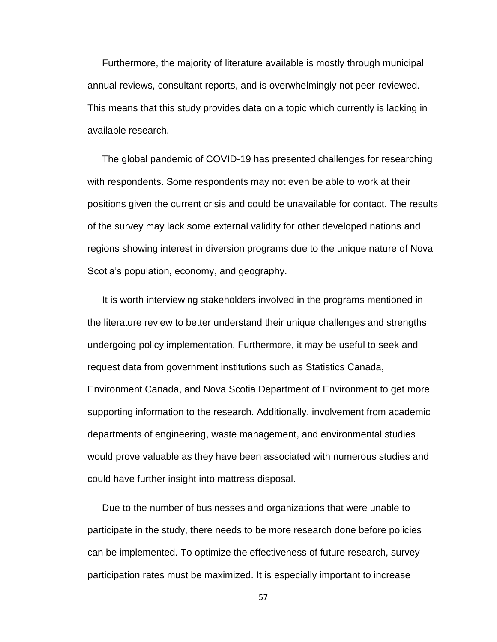Furthermore, the majority of literature available is mostly through municipal annual reviews, consultant reports, and is overwhelmingly not peer-reviewed. This means that this study provides data on a topic which currently is lacking in available research.

The global pandemic of COVID-19 has presented challenges for researching with respondents. Some respondents may not even be able to work at their positions given the current crisis and could be unavailable for contact. The results of the survey may lack some external validity for other developed nations and regions showing interest in diversion programs due to the unique nature of Nova Scotia's population, economy, and geography.

It is worth interviewing stakeholders involved in the programs mentioned in the literature review to better understand their unique challenges and strengths undergoing policy implementation. Furthermore, it may be useful to seek and request data from government institutions such as Statistics Canada, Environment Canada, and Nova Scotia Department of Environment to get more supporting information to the research. Additionally, involvement from academic departments of engineering, waste management, and environmental studies would prove valuable as they have been associated with numerous studies and could have further insight into mattress disposal.

Due to the number of businesses and organizations that were unable to participate in the study, there needs to be more research done before policies can be implemented. To optimize the effectiveness of future research, survey participation rates must be maximized. It is especially important to increase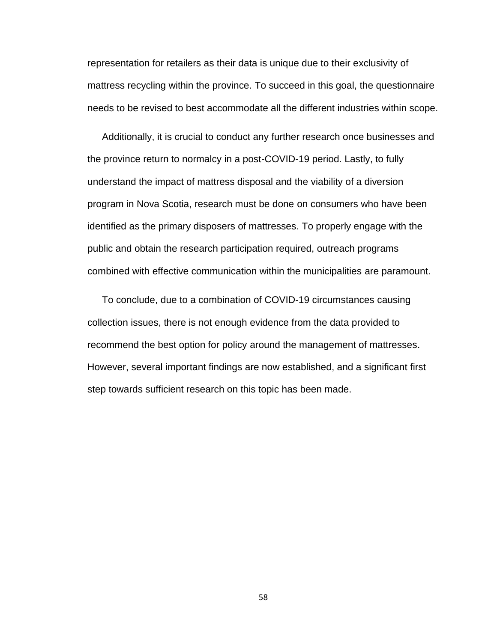representation for retailers as their data is unique due to their exclusivity of mattress recycling within the province. To succeed in this goal, the questionnaire needs to be revised to best accommodate all the different industries within scope.

Additionally, it is crucial to conduct any further research once businesses and the province return to normalcy in a post-COVID-19 period. Lastly, to fully understand the impact of mattress disposal and the viability of a diversion program in Nova Scotia, research must be done on consumers who have been identified as the primary disposers of mattresses. To properly engage with the public and obtain the research participation required, outreach programs combined with effective communication within the municipalities are paramount.

To conclude, due to a combination of COVID-19 circumstances causing collection issues, there is not enough evidence from the data provided to recommend the best option for policy around the management of mattresses. However, several important findings are now established, and a significant first step towards sufficient research on this topic has been made.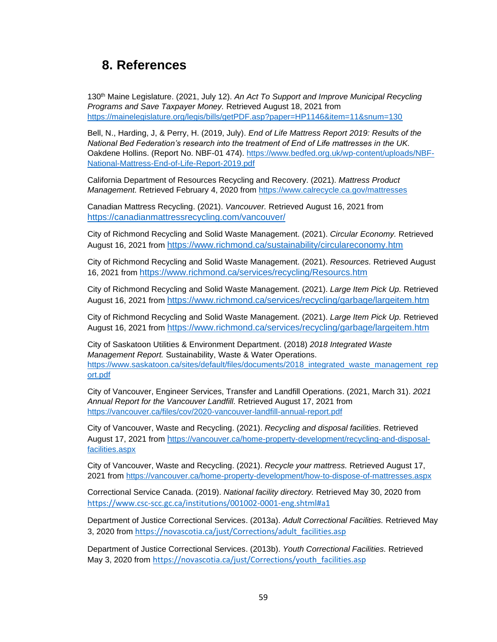# **8. References**

130th Maine Legislature. (2021, July 12). *An Act To Support and Improve Municipal Recycling Programs and Save Taxpayer Money.* Retrieved August 18, 2021 from <https://mainelegislature.org/legis/bills/getPDF.asp?paper=HP1146&item=11&snum=130>

Bell, N., Harding, J, & Perry, H. (2019, July). *End of Life Mattress Report 2019: Results of the National Bed Federation's research into the treatment of End of Life mattresses in the UK.*  Oakdene Hollins. (Report No. NBF-01 474). [https://www.bedfed.org.uk/wp-content/uploads/NBF-](https://www.bedfed.org.uk/wp-content/uploads/NBF-National-Mattress-End-of-Life-Report-2019.pdf)[National-Mattress-End-of-Life-Report-2019.pdf](https://www.bedfed.org.uk/wp-content/uploads/NBF-National-Mattress-End-of-Life-Report-2019.pdf)

California Department of Resources Recycling and Recovery. (2021). *Mattress Product Management.* Retrieved February 4, 2020 from https://www.calrecycle.ca.gov/mattresses

Canadian Mattress Recycling. (2021). *Vancouver.* Retrieved August 16, 2021 from <https://canadianmattressrecycling.com/vancouver/>

City of Richmond Recycling and Solid Waste Management. (2021). *Circular Economy.* Retrieved August 16, 2021 from <https://www.richmond.ca/sustainability/circulareconomy.htm>

City of Richmond Recycling and Solid Waste Management. (2021). *Resources.* Retrieved August 16, 2021 from <https://www.richmond.ca/services/recycling/Resourcs.htm>

City of Richmond Recycling and Solid Waste Management. (2021). *Large Item Pick Up.* Retrieved August 16, 2021 from <https://www.richmond.ca/services/recycling/garbage/largeitem.htm>

City of Richmond Recycling and Solid Waste Management. (2021). *Large Item Pick Up.* Retrieved August 16, 2021 from <https://www.richmond.ca/services/recycling/garbage/largeitem.htm>

City of Saskatoon Utilities & Environment Department. (2018) *2018 Integrated Waste Management Report.* Sustainability, Waste & Water Operations. [https://www.saskatoon.ca/sites/default/files/documents/2018\\_integrated\\_waste\\_management\\_rep](https://www.saskatoon.ca/sites/default/files/documents/2018_integrated_waste_management_report.pdf) [ort.pdf](https://www.saskatoon.ca/sites/default/files/documents/2018_integrated_waste_management_report.pdf)

City of Vancouver, Engineer Services, Transfer and Landfill Operations. (2021, March 31). *2021 Annual Report for the Vancouver Landfill.* Retrieved August 17, 2021 from https://vancouver.ca/files/cov/2020-vancouver-landfill-annual-report.pdf

City of Vancouver, Waste and Recycling. (2021). *Recycling and disposal facilities.* Retrieved August 17, 2021 from h[ttps://vancouver.ca/home-property-development/recycling-and-disposal](https://vancouver.ca/home-property-development/recycling-and-disposal-facilities.aspx)[facilities.aspx](https://vancouver.ca/home-property-development/recycling-and-disposal-facilities.aspx)

City of Vancouver, Waste and Recycling. (2021). *Recycle your mattress.* Retrieved August 17, 2021 from<https://vancouver.ca/home-property-development/how-to-dispose-of-mattresses.aspx>

Correctional Service Canada. (2019). *National facility directory.* Retrieved May 30, 2020 from <https://www.csc-scc.gc.ca/institutions/001002-0001-eng.shtml#a1>

Department of Justice Correctional Services. (2013a). *Adult Correctional Facilities.* Retrieved May 3, 2020 from [https://novascotia.ca/just/Corrections/adult\\_facilities.asp](https://novascotia.ca/just/Corrections/adult_facilities.asp)

Department of Justice Correctional Services. (2013b). *Youth Correctional Facilities.* Retrieved May 3, 2020 from [https://novascotia.ca/just/Corrections/youth\\_facilities.asp](https://novascotia.ca/just/Corrections/youth_facilities.asp)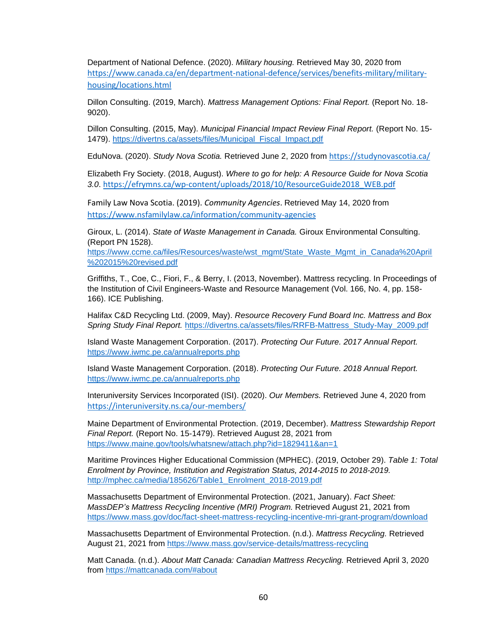Department of National Defence. (2020). *Military housing.* Retrieved May 30, 2020 from [https://www.canada.ca/en/department-national-defence/services/benefits-military/military](https://www.canada.ca/en/department-national-defence/services/benefits-military/military-housing/locations.html)[housing/locations.html](https://www.canada.ca/en/department-national-defence/services/benefits-military/military-housing/locations.html)

Dillon Consulting. (2019, March). *Mattress Management Options: Final Report.* (Report No. 18- 9020).

Dillon Consulting. (2015, May). *Municipal Financial Impact Review Final Report.* (Report No. 15- 1479). [https://divertns.ca/assets/files/Municipal\\_Fiscal\\_Impact.pdf](https://divertns.ca/assets/files/Municipal_Fiscal_Impact.pdf)

EduNova. (2020). *Study Nova Scotia.* Retrieved June 2, 2020 from <https://studynovascotia.ca/>

Elizabeth Fry Society. (2018, August). *Where to go for help: A Resource Guide for Nova Scotia 3.0*. [https://efrymns.ca/wp-content/uploads/2018/10/ResourceGuide2018\\_WEB.pdf](https://efrymns.ca/wp-content/uploads/2018/10/ResourceGuide2018_WEB.pdf)

Family Law Nova Scotia. (2019). *Community Agencies*. Retrieved May 14, 2020 from <https://www.nsfamilylaw.ca/information/community-agencies>

Giroux, L. (2014). *State of Waste Management in Canada.* Giroux Environmental Consulting. (Report PN 1528).

[https://www.ccme.ca/files/Resources/waste/wst\\_mgmt/State\\_Waste\\_Mgmt\\_in\\_Canada%20April](https://www.ccme.ca/files/Resources/waste/wst_mgmt/State_Waste_Mgmt_in_Canada%20April%202015%20revised.pdf) [%202015%20revised.pdf](https://www.ccme.ca/files/Resources/waste/wst_mgmt/State_Waste_Mgmt_in_Canada%20April%202015%20revised.pdf)

Griffiths, T., Coe, C., Fiori, F., & Berry, I. (2013, November). Mattress recycling. In Proceedings of the Institution of Civil Engineers-Waste and Resource Management (Vol. 166, No. 4, pp. 158- 166). ICE Publishing.

Halifax C&D Recycling Ltd. (2009, May). *Resource Recovery Fund Board Inc. Mattress and Box Spring Study Final Report.* [https://divertns.ca/assets/files/RRFB-Mattress\\_Study-May\\_2009.pdf](https://divertns.ca/assets/files/RRFB-Mattress_Study-May_2009.pdf)

Island Waste Management Corporation. (2017). *Protecting Our Future. 2017 Annual Report.*  <https://www.iwmc.pe.ca/annualreports.php>

Island Waste Management Corporation. (2018). *Protecting Our Future. 2018 Annual Report.*  <https://www.iwmc.pe.ca/annualreports.php>

Interuniversity Services Incorporated (ISI). (2020). *Our Members.* Retrieved June 4, 2020 from <https://interuniversity.ns.ca/our-members/>

Maine Department of Environmental Protection. (2019, December). *Mattress Stewardship Report Final Report.* (Report No. 15-1479). Retrieved August 28, 2021 from <https://www.maine.gov/tools/whatsnew/attach.php?id=1829411&an=1>

Maritime Provinces Higher Educational Commission (MPHEC). (2019, October 29). *Table 1: Total Enrolment by Province, Institution and Registration Status, 2014-2015 to 2018-2019.*  [http://mphec.ca/media/185626/Table1\\_Enrolment\\_2018-2019.pdf](http://mphec.ca/media/185626/Table1_Enrolment_2018-2019.pdf)

Massachusetts Department of Environmental Protection. (2021, January). *Fact Sheet: MassDEP's Mattress Recycling Incentive (MRI) Program.* Retrieved August 21, 2021 from https://www.mass.gov/doc/fact-sheet-mattress-recycling-incentive-mri-grant-program/download

Massachusetts Department of Environmental Protection. (n.d.). *Mattress Recycling.* Retrieved August 21, 2021 from<https://www.mass.gov/service-details/mattress-recycling>

Matt Canada. (n.d.). *About Matt Canada: Canadian Mattress Recycling.* Retrieved April 3, 2020 from<https://mattcanada.com/#about>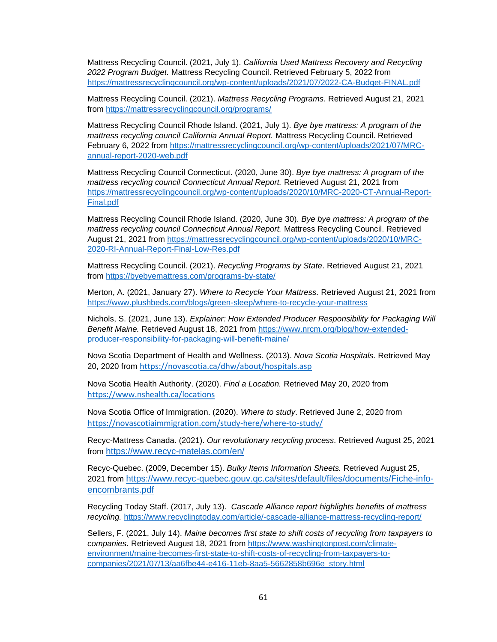Mattress Recycling Council. (2021, July 1). *California Used Mattress Recovery and Recycling 2022 Program Budget.* Mattress Recycling Council. Retrieved February 5, 2022 from <https://mattressrecyclingcouncil.org/wp-content/uploads/2021/07/2022-CA-Budget-FINAL.pdf>

Mattress Recycling Council. (2021). *Mattress Recycling Programs.* Retrieved August 21, 2021 from<https://mattressrecyclingcouncil.org/programs/>

Mattress Recycling Council Rhode Island. (2021, July 1). *Bye bye mattress: A program of the mattress recycling council California Annual Report.* Mattress Recycling Council. Retrieved February 6, 2022 from [https://mattressrecyclingcouncil.org/wp-content/uploads/2021/07/MRC](https://mattressrecyclingcouncil.org/wp-content/uploads/2021/07/MRC-annual-report-2020-web.pdf)[annual-report-2020-web.pdf](https://mattressrecyclingcouncil.org/wp-content/uploads/2021/07/MRC-annual-report-2020-web.pdf)

Mattress Recycling Council Connecticut. (2020, June 30). *Bye bye mattress: A program of the mattress recycling council Connecticut Annual Report.* Retrieved August 21, 2021 from https://mattressrecyclingcouncil.org/wp-content/uploads/2020/10/MRC-2020-CT-Annual-Report-Final.pdf

Mattress Recycling Council Rhode Island. (2020, June 30). *Bye bye mattress: A program of the mattress recycling council Connecticut Annual Report.* Mattress Recycling Council. Retrieved August 21, 2021 from [https://mattressrecyclingcouncil.org/wp-content/uploads/2020/10/MRC-](https://mattressrecyclingcouncil.org/wp-content/uploads/2020/10/MRC-2020-RI-Annual-Report-Final-Low-Res.pdf)[2020-RI-Annual-Report-Final-Low-Res.pdf](https://mattressrecyclingcouncil.org/wp-content/uploads/2020/10/MRC-2020-RI-Annual-Report-Final-Low-Res.pdf)

Mattress Recycling Council. (2021). *Recycling Programs by State*. Retrieved August 21, 2021 from <https://byebyemattress.com/programs-by-state/>

Merton, A. (2021, January 27). *Where to Recycle Your Mattress.* Retrieved August 21, 2021 from https://www.plushbeds.com/blogs/green-sleep/where-to-recycle-your-mattress

Nichols, S. (2021, June 13). *Explainer: How Extended Producer Responsibility for Packaging Will Benefit Maine.* Retrieved August 18, 2021 from https://www.nrcm.org/blog/how-extendedproducer-responsibility-for-packaging-will-benefit-maine/

Nova Scotia Department of Health and Wellness. (2013). *Nova Scotia Hospitals.* Retrieved May 20, 2020 from <https://novascotia.ca/dhw/about/hospitals.asp>

Nova Scotia Health Authority. (2020). *Find a Location.* Retrieved May 20, 2020 from <https://www.nshealth.ca/locations>

Nova Scotia Office of Immigration. (2020). *Where to study*. Retrieved June 2, 2020 from <https://novascotiaimmigration.com/study-here/where-to-study/>

Recyc-Mattress Canada. (2021). *Our revolutionary recycling process.* Retrieved August 25, 2021 from <https://www.recyc-matelas.com/en/>

Recyc-Quebec. (2009, December 15). *Bulky Items Information Sheets.* Retrieved August 25, 2021 from [https://www.recyc-quebec.gouv.qc.ca/sites/default/files/documents/Fiche-info](https://www.recyc-quebec.gouv.qc.ca/sites/default/files/documents/Fiche-info-encombrants.pdf)[encombrants.pdf](https://www.recyc-quebec.gouv.qc.ca/sites/default/files/documents/Fiche-info-encombrants.pdf)

Recycling Today Staff. (2017, July 13). *Cascade Alliance report highlights benefits of mattress recycling.* <https://www.recyclingtoday.com/article/-cascade-alliance-mattress-recycling-report/>

Sellers, F. (2021, July 14). *Maine becomes first state to shift costs of recycling from taxpayers to companies.* Retrieved August 18, 2021 from https://www.washingtonpost.com/climateenvironment/maine-becomes-first-state-to-shift-costs-of-recycling-from-taxpayers-tocompanies/2021/07/13/aa6fbe44-e416-11eb-8aa5-5662858b696e\_story.html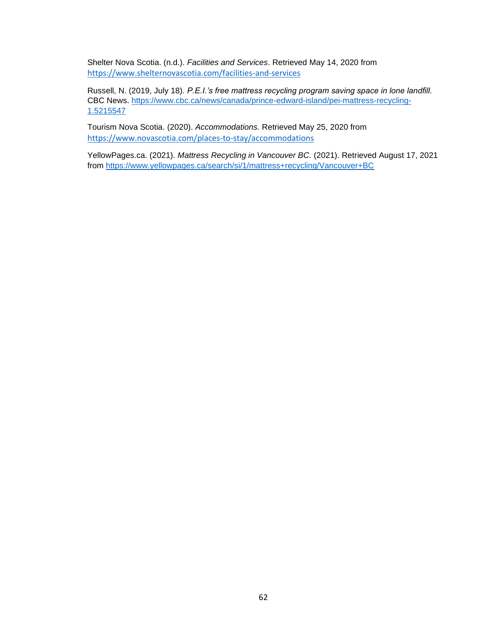Shelter Nova Scotia. (n.d.). *Facilities and Services*. Retrieved May 14, 2020 from <https://www.shelternovascotia.com/facilities-and-services>

Russell, N. (2019, July 18). *P.E.I.'s free mattress recycling program saving space in lone landfill.*  CBC News. [https://www.cbc.ca/news/canada/prince-edward-island/pei-mattress-recycling-](https://www.cbc.ca/news/canada/prince-edward-island/pei-mattress-recycling-1.5215547)[1.5215547](https://www.cbc.ca/news/canada/prince-edward-island/pei-mattress-recycling-1.5215547)

Tourism Nova Scotia. (2020). *Accommodations.* Retrieved May 25, 2020 from <https://www.novascotia.com/places-to-stay/accommodations>

YellowPages.ca. (2021). *Mattress Recycling in Vancouver BC.* (2021). Retrieved August 17, 2021 from<https://www.yellowpages.ca/search/si/1/mattress+recycling/Vancouver+BC>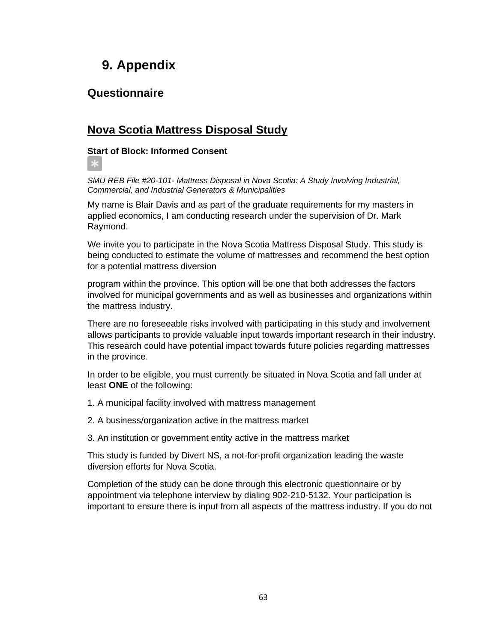# **9. Appendix**

# **Questionnaire**

∗

# **Nova Scotia Mattress Disposal Study**

### **Start of Block: Informed Consent**

*SMU REB File #20-101- Mattress Disposal in Nova Scotia: A Study Involving Industrial, Commercial, and Industrial Generators & Municipalities*

My name is Blair Davis and as part of the graduate requirements for my masters in applied economics, I am conducting research under the supervision of Dr. Mark Raymond.

We invite you to participate in the Nova Scotia Mattress Disposal Study. This study is being conducted to estimate the volume of mattresses and recommend the best option for a potential mattress diversion

program within the province. This option will be one that both addresses the factors involved for municipal governments and as well as businesses and organizations within the mattress industry.

There are no foreseeable risks involved with participating in this study and involvement allows participants to provide valuable input towards important research in their industry. This research could have potential impact towards future policies regarding mattresses in the province.

In order to be eligible, you must currently be situated in Nova Scotia and fall under at least **ONE** of the following:

- 1. A municipal facility involved with mattress management
- 2. A business/organization active in the mattress market
- 3. An institution or government entity active in the mattress market

This study is funded by Divert NS, a not-for-profit organization leading the waste diversion efforts for Nova Scotia.

Completion of the study can be done through this electronic questionnaire or by appointment via telephone interview by dialing 902-210-5132. Your participation is important to ensure there is input from all aspects of the mattress industry. If you do not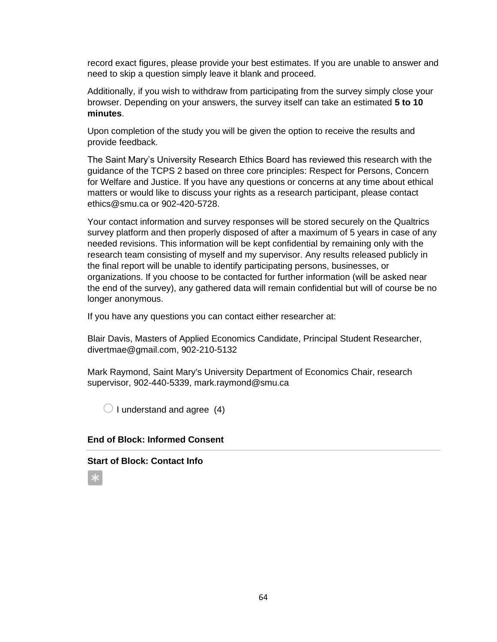record exact figures, please provide your best estimates. If you are unable to answer and need to skip a question simply leave it blank and proceed.

Additionally, if you wish to withdraw from participating from the survey simply close your browser. Depending on your answers, the survey itself can take an estimated **5 to 10 minutes**.

Upon completion of the study you will be given the option to receive the results and provide feedback.

The Saint Mary's University Research Ethics Board has reviewed this research with the guidance of the TCPS 2 based on three core principles: Respect for Persons, Concern for Welfare and Justice. If you have any questions or concerns at any time about ethical matters or would like to discuss your rights as a research participant, please contact ethics@smu.ca or 902-420-5728.

Your contact information and survey responses will be stored securely on the Qualtrics survey platform and then properly disposed of after a maximum of 5 years in case of any needed revisions. This information will be kept confidential by remaining only with the research team consisting of myself and my supervisor. Any results released publicly in the final report will be unable to identify participating persons, businesses, or organizations. If you choose to be contacted for further information (will be asked near the end of the survey), any gathered data will remain confidential but will of course be no longer anonymous.

If you have any questions you can contact either researcher at:

Blair Davis, Masters of Applied Economics Candidate, Principal Student Researcher, divertmae@gmail.com, 902-210-5132

Mark Raymond, Saint Mary's University Department of Economics Chair, research supervisor, 902-440-5339, mark.raymond@smu.ca

 $\bigcirc$  I understand and agree (4)

#### **End of Block: Informed Consent**

#### **Start of Block: Contact Info**

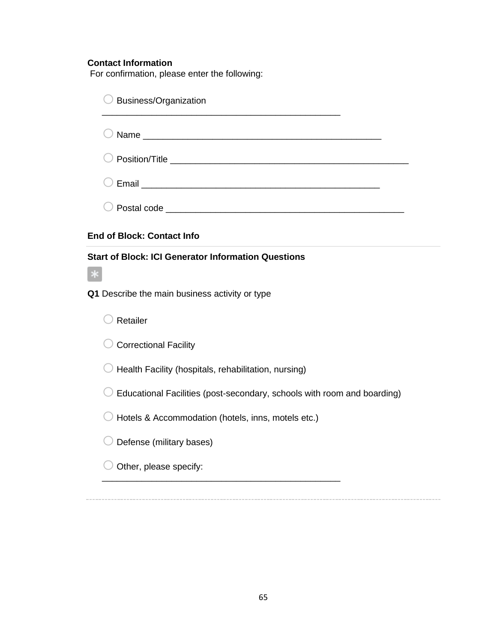### **Contact Information**

For confirmation, please enter the following:

| Business/Organization                                                   |
|-------------------------------------------------------------------------|
|                                                                         |
|                                                                         |
|                                                                         |
|                                                                         |
| <b>End of Block: Contact Info</b>                                       |
| <b>Start of Block: ICI Generator Information Questions</b>              |
| Q1 Describe the main business activity or type                          |
| Retailer                                                                |
| <b>Correctional Facility</b>                                            |
| Health Facility (hospitals, rehabilitation, nursing)                    |
| Educational Facilities (post-secondary, schools with room and boarding) |
| Hotels & Accommodation (hotels, inns, motels etc.)                      |
| Defense (military bases)                                                |
| Other, please specify:                                                  |

65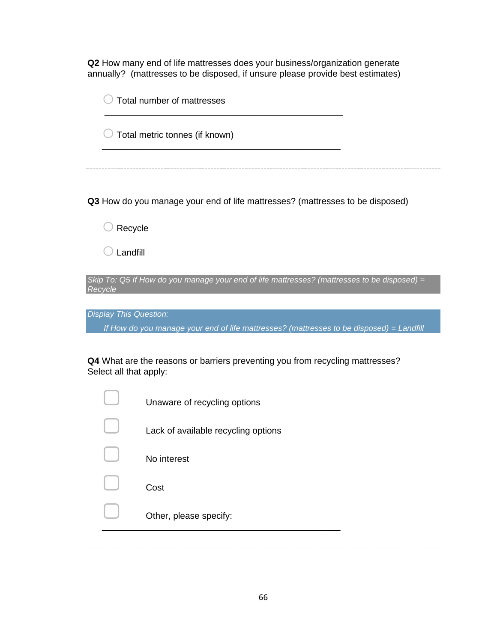**Q2** How many end of life mattresses does your business/organization generate annually? (mattresses to be disposed, if unsure please provide best estimates)

|         | Total number of mattresses                                                                                                |
|---------|---------------------------------------------------------------------------------------------------------------------------|
|         | Total metric tonnes (if known)                                                                                            |
|         | Q3 How do you manage your end of life mattresses? (mattresses to be disposed)                                             |
|         | Recycle                                                                                                                   |
|         | Landfill                                                                                                                  |
| Recycle | Skip To: Q5 If How do you manage your end of life mattresses? (mattresses to be disposed) =                               |
|         | <b>Display This Question:</b><br>If How do you manage your end of life mattresses? (mattresses to be disposed) = Landfill |
|         | Q4 What are the reasons or barriers preventing you from recycling mattresses?<br>Select all that apply:                   |
|         | Unaware of recycling options                                                                                              |
|         | Lack of available recycling options                                                                                       |
|         |                                                                                                                           |

▢ No interest

**Cost** 

Other, please specify:

\_\_\_\_\_\_\_\_\_\_\_\_\_\_\_\_\_\_\_\_\_\_\_\_\_\_\_\_\_\_\_\_\_\_\_\_\_\_\_\_\_\_\_\_\_\_\_\_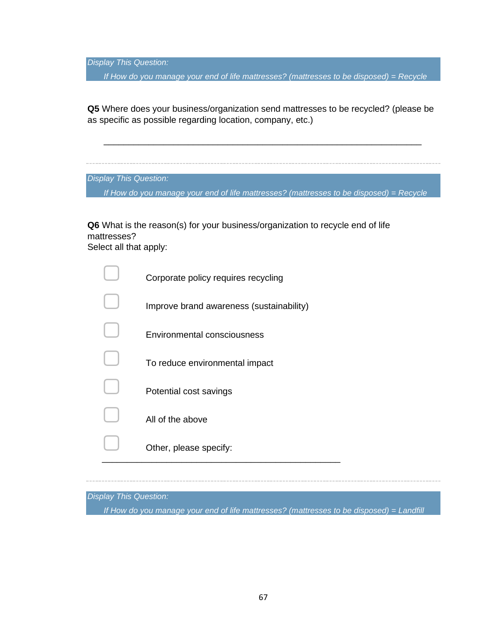*Display This Question:*

*If How do you manage your end of life mattresses? (mattresses to be disposed) = Recycle*

**Q5** Where does your business/organization send mattresses to be recycled? (please be as specific as possible regarding location, company, etc.)

\_\_\_\_\_\_\_\_\_\_\_\_\_\_\_\_\_\_\_\_\_\_\_\_\_\_\_\_\_\_\_\_\_\_\_\_\_\_\_\_\_\_\_\_\_\_\_\_\_\_\_\_\_\_\_\_\_\_\_\_\_\_\_\_

*Display This Question:*

*If How do you manage your end of life mattresses? (mattresses to be disposed) = Recycle*

**Q6** What is the reason(s) for your business/organization to recycle end of life mattresses?

Select all that apply:

| Corporate policy requires recycling |
|-------------------------------------|
|                                     |

▢ Improve brand awareness (sustainability)

\_\_\_\_\_\_\_\_\_\_\_\_\_\_\_\_\_\_\_\_\_\_\_\_\_\_\_\_\_\_\_\_\_\_\_\_\_\_\_\_\_\_\_\_\_\_\_\_

▢ Environmental consciousness

- ▢ To reduce environmental impact
- Potential cost savings

All of the above

Other, please specify:

*Display This Question:*

*If How do you manage your end of life mattresses? (mattresses to be disposed) = Landfill*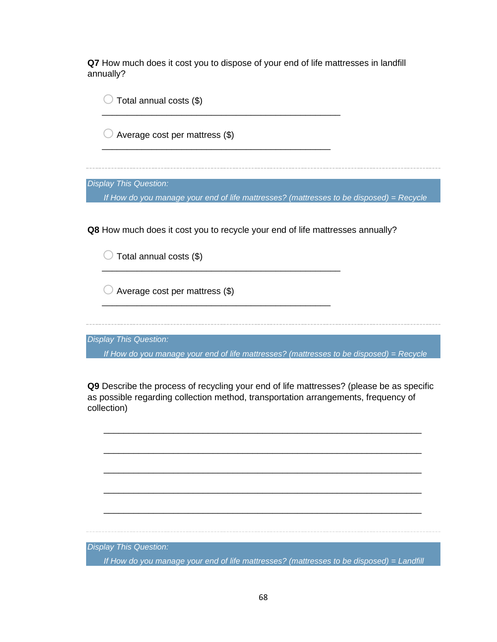**Q7** How much does it cost you to dispose of your end of life mattresses in landfill annually?

 $\bigcirc$  Total annual costs (\$) \_\_\_\_\_\_\_\_\_\_\_\_\_\_\_\_\_\_\_\_\_\_\_\_\_\_\_\_\_\_\_\_\_\_\_\_\_\_\_\_\_\_\_\_\_\_\_\_  $\bigcirc$  Average cost per mattress (\$) \_\_\_\_\_\_\_\_\_\_\_\_\_\_\_\_\_\_\_\_\_\_\_\_\_\_\_\_\_\_\_\_\_\_\_\_\_\_\_\_\_\_\_\_\_\_ *Display This Question: If How do you manage your end of life mattresses? (mattresses to be disposed) = Recycle* **Q8** How much does it cost you to recycle your end of life mattresses annually?  $\bigcirc$  Total annual costs (\$) \_\_\_\_\_\_\_\_\_\_\_\_\_\_\_\_\_\_\_\_\_\_\_\_\_\_\_\_\_\_\_\_\_\_\_\_\_\_\_\_\_\_\_\_\_\_\_\_  $\bigcirc$  Average cost per mattress (\$) \_\_\_\_\_\_\_\_\_\_\_\_\_\_\_\_\_\_\_\_\_\_\_\_\_\_\_\_\_\_\_\_\_\_\_\_\_\_\_\_\_\_\_\_\_\_ *Display This Question: If How do you manage your end of life mattresses? (mattresses to be disposed) = Recycle* **Q9** Describe the process of recycling your end of life mattresses? (please be as specific as possible regarding collection method, transportation arrangements, frequency of collection)

*Display This Question:*

*If How do you manage your end of life mattresses? (mattresses to be disposed) = Landfill*

\_\_\_\_\_\_\_\_\_\_\_\_\_\_\_\_\_\_\_\_\_\_\_\_\_\_\_\_\_\_\_\_\_\_\_\_\_\_\_\_\_\_\_\_\_\_\_\_\_\_\_\_\_\_\_\_\_\_\_\_\_\_\_\_

\_\_\_\_\_\_\_\_\_\_\_\_\_\_\_\_\_\_\_\_\_\_\_\_\_\_\_\_\_\_\_\_\_\_\_\_\_\_\_\_\_\_\_\_\_\_\_\_\_\_\_\_\_\_\_\_\_\_\_\_\_\_\_\_

\_\_\_\_\_\_\_\_\_\_\_\_\_\_\_\_\_\_\_\_\_\_\_\_\_\_\_\_\_\_\_\_\_\_\_\_\_\_\_\_\_\_\_\_\_\_\_\_\_\_\_\_\_\_\_\_\_\_\_\_\_\_\_\_

\_\_\_\_\_\_\_\_\_\_\_\_\_\_\_\_\_\_\_\_\_\_\_\_\_\_\_\_\_\_\_\_\_\_\_\_\_\_\_\_\_\_\_\_\_\_\_\_\_\_\_\_\_\_\_\_\_\_\_\_\_\_\_\_

\_\_\_\_\_\_\_\_\_\_\_\_\_\_\_\_\_\_\_\_\_\_\_\_\_\_\_\_\_\_\_\_\_\_\_\_\_\_\_\_\_\_\_\_\_\_\_\_\_\_\_\_\_\_\_\_\_\_\_\_\_\_\_\_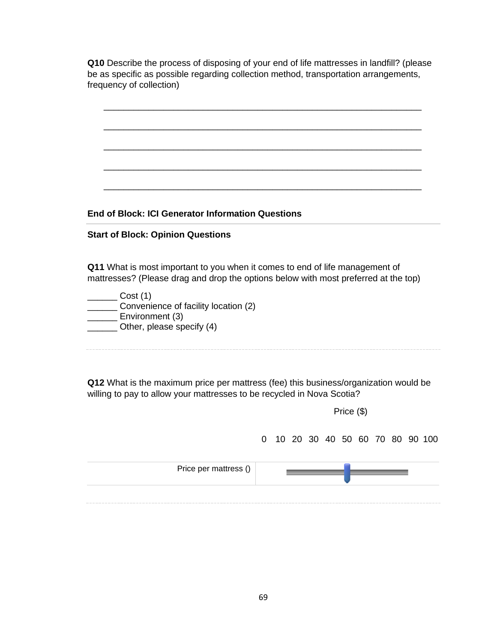**Q10** Describe the process of disposing of your end of life mattresses in landfill? (please be as specific as possible regarding collection method, transportation arrangements, frequency of collection)

| <b>End of Block: ICI Generator Information Questions</b>                            |
|-------------------------------------------------------------------------------------|
|                                                                                     |
| <b>Start of Block: Opinion Questions</b>                                            |
|                                                                                     |
|                                                                                     |
| <b>Q11</b> What is most important to you when it comes to end of life management of |
| mattresses? (Please drag and drop the options below with most preferred at the top) |
| _ Cost (1)                                                                          |
| Convenience of facility location (2)                                                |
| Environment (3)                                                                     |
| Other, please specify (4)                                                           |
|                                                                                     |
|                                                                                     |

**Q12** What is the maximum price per mattress (fee) this business/organization would be willing to pay to allow your mattresses to be recycled in Nova Scotia?

Price (\$) 0 10 20 30 40 50 60 70 80 90 100 Price per mattress ()\_ ÷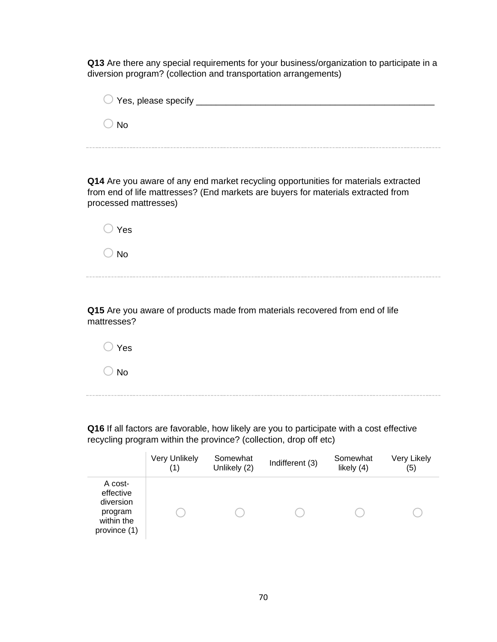**Q13** Are there any special requirements for your business/organization to participate in a diversion program? (collection and transportation arrangements)

| $\bigcirc$ Yes, please specify $\_\_$ |  |
|---------------------------------------|--|
| ≀ No                                  |  |
|                                       |  |

**Q14** Are you aware of any end market recycling opportunities for materials extracted from end of life mattresses? (End markets are buyers for materials extracted from processed mattresses)

| $\bigcirc$ Yes |  |  |  |
|----------------|--|--|--|
| $\bigcirc$ No  |  |  |  |

**Q15** Are you aware of products made from materials recovered from end of life mattresses?

 $\bigcirc$  Yes  $\bigcirc$  No

**Q16** If all factors are favorable, how likely are you to participate with a cost effective recycling program within the province? (collection, drop off etc)

|                                                                            | <b>Very Unlikely</b><br>(1 | Somewhat<br>Unlikely (2) | Indifferent (3) | Somewhat<br>likely (4) | Very Likely<br>(5) |
|----------------------------------------------------------------------------|----------------------------|--------------------------|-----------------|------------------------|--------------------|
| A cost-<br>effective<br>diversion<br>program<br>within the<br>province (1) |                            |                          |                 |                        |                    |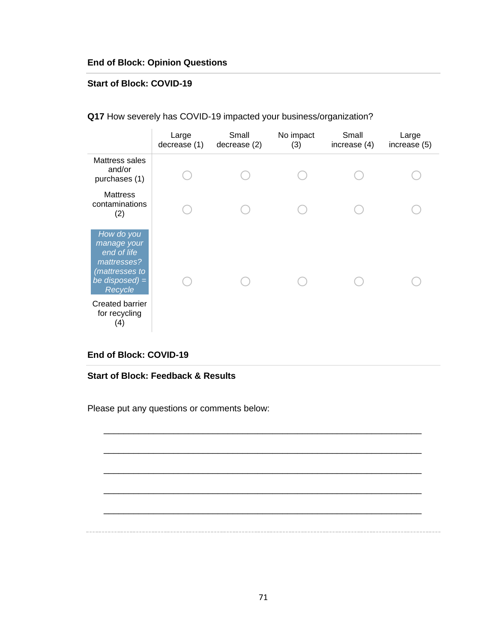### **End of Block: Opinion Questions**

#### **Start of Block: COVID-19**

|                                                                                                          | Large<br>decrease (1) | Small<br>decrease (2) | No impact<br>(3) | Small<br>increase (4) | Large<br>increase (5) |
|----------------------------------------------------------------------------------------------------------|-----------------------|-----------------------|------------------|-----------------------|-----------------------|
| Mattress sales<br>and/or<br>purchases (1)                                                                |                       |                       |                  |                       |                       |
| <b>Mattress</b><br>contaminations<br>(2)                                                                 |                       |                       |                  |                       |                       |
| How do you<br>manage your<br>end of life<br>mattresses?<br>(mattresses to<br>be disposed) $=$<br>Recycle |                       |                       |                  |                       |                       |
| <b>Created barrier</b><br>for recycling<br>(4)                                                           |                       |                       |                  |                       |                       |

**Q17** How severely has COVID-19 impacted your business/organization?

### **End of Block: COVID-19**

**Start of Block: Feedback & Results**

Please put any questions or comments below:

\_\_\_\_\_\_\_\_\_\_\_\_\_\_\_\_\_\_\_\_\_\_\_\_\_\_\_\_\_\_\_\_\_\_\_\_\_\_\_\_\_\_\_\_\_\_\_\_\_\_\_\_\_\_\_\_\_\_\_\_\_\_\_\_

\_\_\_\_\_\_\_\_\_\_\_\_\_\_\_\_\_\_\_\_\_\_\_\_\_\_\_\_\_\_\_\_\_\_\_\_\_\_\_\_\_\_\_\_\_\_\_\_\_\_\_\_\_\_\_\_\_\_\_\_\_\_\_\_

\_\_\_\_\_\_\_\_\_\_\_\_\_\_\_\_\_\_\_\_\_\_\_\_\_\_\_\_\_\_\_\_\_\_\_\_\_\_\_\_\_\_\_\_\_\_\_\_\_\_\_\_\_\_\_\_\_\_\_\_\_\_\_\_

\_\_\_\_\_\_\_\_\_\_\_\_\_\_\_\_\_\_\_\_\_\_\_\_\_\_\_\_\_\_\_\_\_\_\_\_\_\_\_\_\_\_\_\_\_\_\_\_\_\_\_\_\_\_\_\_\_\_\_\_\_\_\_\_

\_\_\_\_\_\_\_\_\_\_\_\_\_\_\_\_\_\_\_\_\_\_\_\_\_\_\_\_\_\_\_\_\_\_\_\_\_\_\_\_\_\_\_\_\_\_\_\_\_\_\_\_\_\_\_\_\_\_\_\_\_\_\_\_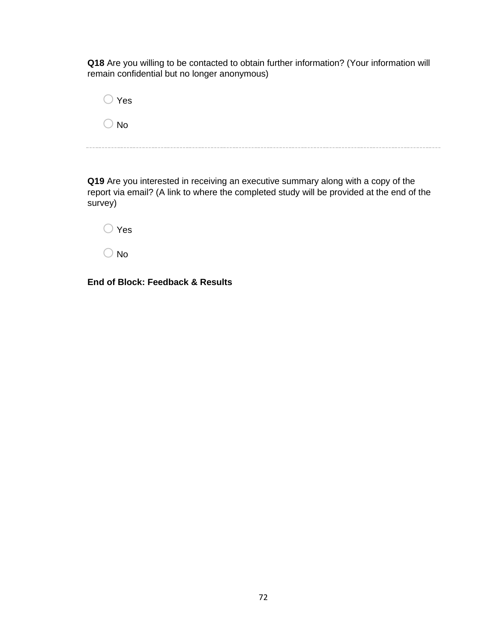**Q18** Are you willing to be contacted to obtain further information? (Your information will remain confidential but no longer anonymous)

| $\bigcirc$ Yes |  |  |  |
|----------------|--|--|--|
| $\bigcirc$ No  |  |  |  |

**Q19** Are you interested in receiving an executive summary along with a copy of the report via email? (A link to where the completed study will be provided at the end of the survey)



**End of Block: Feedback & Results**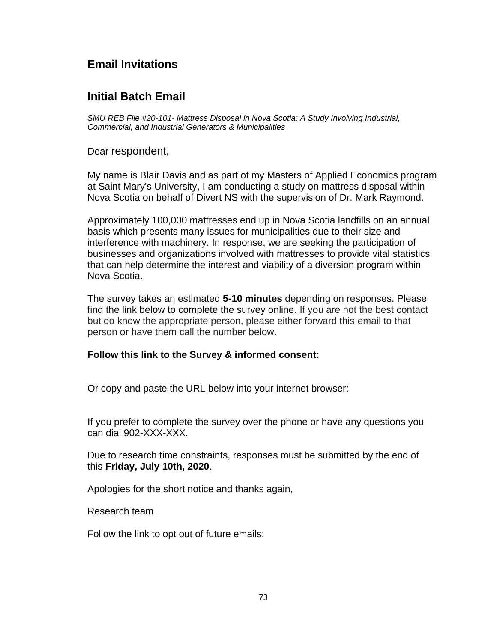# **Email Invitations**

### **Initial Batch Email**

*SMU REB File #20-101- Mattress Disposal in Nova Scotia: A Study Involving Industrial, Commercial, and Industrial Generators & Municipalities*

Dear respondent,

My name is Blair Davis and as part of my Masters of Applied Economics program at Saint Mary's University, I am conducting a study on mattress disposal within Nova Scotia on behalf of Divert NS with the supervision of Dr. Mark Raymond.

Approximately 100,000 mattresses end up in Nova Scotia landfills on an annual basis which presents many issues for municipalities due to their size and interference with machinery. In response, we are seeking the participation of businesses and organizations involved with mattresses to provide vital statistics that can help determine the interest and viability of a diversion program within Nova Scotia.

The survey takes an estimated **5-10 minutes** depending on responses. Please find the link below to complete the survey online. If you are not the best contact but do know the appropriate person, please either forward this email to that person or have them call the number below.

#### **Follow this link to the Survey & informed consent:**

Or copy and paste the URL below into your internet browser:

If you prefer to complete the survey over the phone or have any questions you can dial 902-XXX-XXX.

Due to research time constraints, responses must be submitted by the end of this **Friday, July 10th, 2020**.

Apologies for the short notice and thanks again,

Research team

Follow the link to opt out of future emails: